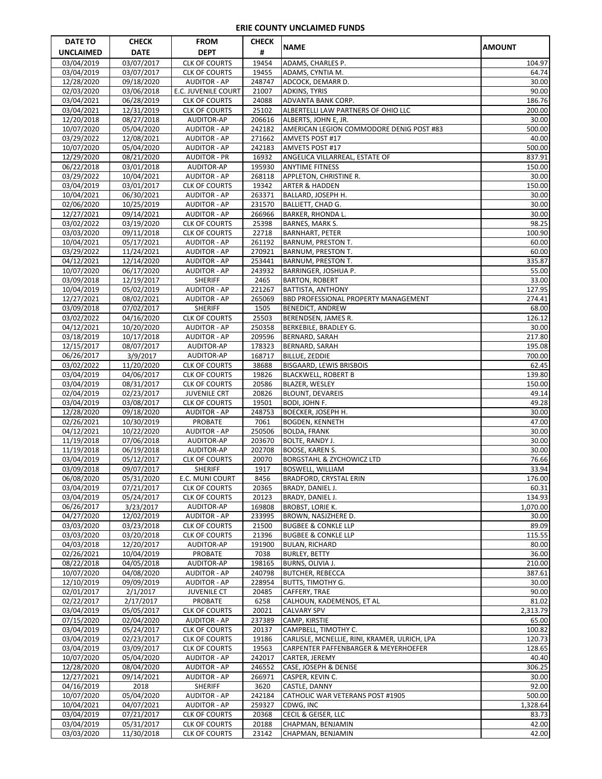| <b>DATE TO</b>           | <b>CHECK</b>             | <b>FROM</b>                                  | <b>CHECK</b>     |                                                                         |                    |
|--------------------------|--------------------------|----------------------------------------------|------------------|-------------------------------------------------------------------------|--------------------|
| <b>UNCLAIMED</b>         | <b>DATE</b>              | <b>DEPT</b>                                  | #                | <b>NAME</b>                                                             | <b>AMOUNT</b>      |
| 03/04/2019               | 03/07/2017               | <b>CLK OF COURTS</b>                         | 19454            | ADAMS, CHARLES P.                                                       | 104.97             |
| 03/04/2019               | 03/07/2017               | <b>CLK OF COURTS</b>                         | 19455            | ADAMS, CYNTIA M.                                                        | 64.74              |
| 12/28/2020<br>02/03/2020 | 09/18/2020<br>03/06/2018 | <b>AUDITOR - AP</b><br>E.C. JUVENILE COURT   | 248747<br>21007  | ADCOCK, DEMARR D.                                                       | 30.00<br>90.00     |
| 03/04/2021               | 06/28/2019               | <b>CLK OF COURTS</b>                         | 24088            | <b>ADKINS, TYRIS</b><br>ADVANTA BANK CORP.                              | 186.76             |
| 03/04/2021               | 12/31/2019               | <b>CLK OF COURTS</b>                         | 25102            | ALBERTELLI LAW PARTNERS OF OHIO LLC                                     | 200.00             |
| 12/20/2018               | 08/27/2018               | AUDITOR-AP                                   | 206616           | ALBERTS, JOHN E, JR.                                                    | 30.00              |
| 10/07/2020               | 05/04/2020               | <b>AUDITOR - AP</b>                          | 242182           | AMERICAN LEGION COMMODORE DENIG POST #83                                | 500.00             |
| 03/29/2022               | 12/08/2021               | <b>AUDITOR - AP</b>                          | 271662           | AMVETS POST #17                                                         | 40.00              |
| 10/07/2020<br>12/29/2020 | 05/04/2020               | <b>AUDITOR - AP</b>                          | 242183<br>16932  | AMVETS POST #17                                                         | 500.00<br>837.91   |
| 06/22/2018               | 08/21/2020<br>03/01/2018 | <b>AUDITOR - PR</b><br>AUDITOR-AP            | 195930           | ANGELICA VILLARREAL, ESTATE OF<br><b>ANYTIME FITNESS</b>                | 150.00             |
| 03/29/2022               | 10/04/2021               | <b>AUDITOR - AP</b>                          | 268118           | APPLETON, CHRISTINE R.                                                  | 30.00              |
| 03/04/2019               | 03/01/2017               | <b>CLK OF COURTS</b>                         | 19342            | <b>ARTER &amp; HADDEN</b>                                               | 150.00             |
| 10/04/2021               | 06/30/2021               | <b>AUDITOR - AP</b>                          | 263371           | BALLARD, JOSEPH H.                                                      | 30.00              |
| 02/06/2020               | 10/25/2019               | <b>AUDITOR - AP</b>                          | 231570           | <b>BALLIETT, CHAD G.</b>                                                | 30.00              |
| 12/27/2021               | 09/14/2021               | <b>AUDITOR - AP</b>                          | 266966           | <b>BARKER, RHONDA L.</b>                                                | 30.00              |
| 03/02/2022<br>03/03/2020 | 03/19/2020<br>09/11/2018 | <b>CLK OF COURTS</b><br><b>CLK OF COURTS</b> | 25398<br>22718   | BARNES, MARK S.<br><b>BARNHART, PETER</b>                               | 98.25<br>100.90    |
| 10/04/2021               | 05/17/2021               | <b>AUDITOR - AP</b>                          | 261192           | <b>BARNUM, PRESTON T.</b>                                               | 60.00              |
| 03/29/2022               | 11/24/2021               | <b>AUDITOR - AP</b>                          | 270921           | <b>BARNUM, PRESTON T.</b>                                               | 60.00              |
| 04/12/2021               | 12/14/2020               | <b>AUDITOR - AP</b>                          | 253441           | <b>BARNUM, PRESTON T.</b>                                               | 335.87             |
| 10/07/2020               | 06/17/2020               | <b>AUDITOR - AP</b>                          | 243932           | BARRINGER, JOSHUA P.                                                    | 55.00              |
| 03/09/2018               | 12/19/2017               | <b>SHERIFF</b>                               | 2465             | <b>BARTON, ROBERT</b>                                                   | 33.00              |
| 10/04/2019<br>12/27/2021 | 05/02/2019<br>08/02/2021 | <b>AUDITOR - AP</b><br><b>AUDITOR - AP</b>   | 221267<br>265069 | <b>BATTISTA, ANTHONY</b><br><b>BBD PROFESSIONAL PROPERTY MANAGEMENT</b> | 127.95<br>274.41   |
| 03/09/2018               | 07/02/2017               | <b>SHERIFF</b>                               | 1505             | <b>BENEDICT, ANDREW</b>                                                 | 68.00              |
| 03/02/2022               | 04/16/2020               | <b>CLK OF COURTS</b>                         | 25503            | BERENDSEN, JAMES R.                                                     | 126.12             |
| 04/12/2021               | 10/20/2020               | <b>AUDITOR - AP</b>                          | 250358           | BERKEBILE, BRADLEY G.                                                   | 30.00              |
| 03/18/2019               | 10/17/2018               | <b>AUDITOR - AP</b>                          | 209596           | <b>BERNARD, SARAH</b>                                                   | 217.80             |
| 12/15/2017               | 08/07/2017               | AUDITOR-AP                                   | 178323           | BERNARD, SARAH                                                          | 195.08             |
| 06/26/2017               | 3/9/2017                 | AUDITOR-AP                                   | 168717           | <b>BILLUE, ZEDDIE</b>                                                   | 700.00             |
| 03/02/2022<br>03/04/2019 | 11/20/2020<br>04/06/2017 | <b>CLK OF COURTS</b><br><b>CLK OF COURTS</b> | 38688<br>19826   | BISGAARD, LEWIS BRISBOIS<br><b>BLACKWELL, ROBERT B</b>                  | 62.45<br>139.80    |
| 03/04/2019               | 08/31/2017               | <b>CLK OF COURTS</b>                         | 20586            | <b>BLAZER, WESLEY</b>                                                   | 150.00             |
| 02/04/2019               | 02/23/2017               | <b>JUVENILE CRT</b>                          | 20826            | <b>BLOUNT, DEVAREIS</b>                                                 | 49.14              |
| 03/04/2019               | 03/08/2017               | <b>CLK OF COURTS</b>                         | 19501            | BODI, JOHN F.                                                           | 49.28              |
| 12/28/2020               | 09/18/2020               | <b>AUDITOR - AP</b>                          | 248753           | <b>BOECKER, JOSEPH H.</b>                                               | 30.00              |
| 02/26/2021               | 10/30/2019               | <b>PROBATE</b>                               | 7061             | <b>BOGDEN, KENNETH</b>                                                  | 47.00              |
| 04/12/2021<br>11/19/2018 | 10/22/2020<br>07/06/2018 | <b>AUDITOR - AP</b><br>AUDITOR-AP            | 250506<br>203670 | <b>BOLDA, FRANK</b><br>BOLTE, RANDY J.                                  | 30.00<br>30.00     |
| 11/19/2018               | 06/19/2018               | AUDITOR-AP                                   | 202708           | BOOSE, KAREN S.                                                         | 30.00              |
| 03/04/2019               | 05/12/2017               | <b>CLK OF COURTS</b>                         | 20070            | <b>BORGSTAHL &amp; ZYCHOWICZ LTD</b>                                    | 76.66              |
| 03/09/2018               | 09/07/2017               | <b>SHERIFF</b>                               | 1917             | <b>BOSWELL, WILLIAM</b>                                                 | 33.94              |
| 06/08/2020               | 05/31/2020               | E.C. MUNI COURT                              | 8456             | <b>BRADFORD, CRYSTAL ERIN</b>                                           | 176.00             |
| 03/04/2019               | 07/21/2017               | <b>CLK OF COURTS</b>                         | 20365            | BRADY, DANIEL J.                                                        | 60.31              |
| 03/04/2019<br>06/26/2017 | 05/24/2017<br>3/23/2017  | <b>CLK OF COURTS</b><br>AUDITOR-AP           | 20123<br>169808  | BRADY, DANIEL J.<br>BROBST, LORIE K.                                    | 134.93<br>1,070.00 |
| 04/27/2020               | 12/02/2019               | <b>AUDITOR - AP</b>                          | 233995           | BROWN, NASJZHERE D.                                                     | 30.00              |
| 03/03/2020               | 03/23/2018               | <b>CLK OF COURTS</b>                         | 21500            | <b>BUGBEE &amp; CONKLE LLP</b>                                          | 89.09              |
| 03/03/2020               | 03/20/2018               | <b>CLK OF COURTS</b>                         | 21396            | <b>BUGBEE &amp; CONKLE LLP</b>                                          | 115.55             |
| 04/03/2018               | 12/20/2017               | AUDITOR-AP                                   | 191900           | <b>BULAN, RICHARD</b>                                                   | 80.00              |
| 02/26/2021               | 10/04/2019               | PROBATE                                      | 7038             | <b>BURLEY, BETTY</b>                                                    | 36.00              |
| 08/22/2018<br>10/07/2020 | 04/05/2018<br>04/08/2020 | AUDITOR-AP<br><b>AUDITOR - AP</b>            | 198165<br>240798 | BURNS, OLIVIA J.<br><b>BUTCHER, REBECCA</b>                             | 210.00<br>387.61   |
| 12/10/2019               | 09/09/2019               | <b>AUDITOR - AP</b>                          | 228954           | <b>BUTTS, TIMOTHY G.</b>                                                | 30.00              |
| 02/01/2017               | 2/1/2017                 | <b>JUVENILE CT</b>                           | 20485            | CAFFERY, TRAE                                                           | 90.00              |
| 02/22/2017               | 2/17/2017                | <b>PROBATE</b>                               | 6258             | CALHOUN, KADEMENOS, ET AL                                               | 81.02              |
| 03/04/2019               | 05/05/2017               | <b>CLK OF COURTS</b>                         | 20021            | <b>CALVARY SPV</b>                                                      | 2,313.79           |
| 07/15/2020               | 02/04/2020               | <b>AUDITOR - AP</b>                          | 237389           | CAMP, KIRSTIE                                                           | 65.00              |
| 03/04/2019<br>03/04/2019 | 05/24/2017<br>02/23/2017 | <b>CLK OF COURTS</b><br><b>CLK OF COURTS</b> | 20137<br>19186   | CAMPBELL, TIMOTHY C.<br>CARLISLE, MCNELLIE, RINI, KRAMER, ULRICH, LPA   | 100.82<br>120.73   |
| 03/04/2019               | 03/09/2017               | <b>CLK OF COURTS</b>                         | 19563            | CARPENTER PAFFENBARGER & MEYERHOEFER                                    | 128.65             |
| 10/07/2020               | 05/04/2020               | <b>AUDITOR - AP</b>                          | 242017           | CARTER, JEREMY                                                          | 40.40              |
| 12/28/2020               | 08/04/2020               | <b>AUDITOR - AP</b>                          | 246552           | CASE, JOSEPH & DENISE                                                   | 306.25             |
| 12/27/2021               | 09/14/2021               | <b>AUDITOR - AP</b>                          | 266971           | CASPER, KEVIN C.                                                        | 30.00              |
| 04/16/2019               | 2018                     | <b>SHERIFF</b>                               | 3620             | CASTLE, DANNY                                                           | 92.00              |
| 10/07/2020<br>10/04/2021 | 05/04/2020<br>04/07/2021 | <b>AUDITOR - AP</b><br><b>AUDITOR - AP</b>   | 242184<br>259327 | CATHOLIC WAR VETERANS POST #1905<br>CDWG, INC                           | 500.00<br>1,328.64 |
| 03/04/2019               | 07/21/2017               | <b>CLK OF COURTS</b>                         | 20368            | CECIL & GEISER, LLC                                                     | 83.73              |
| 03/04/2019               | 05/31/2017               | <b>CLK OF COURTS</b>                         | 20188            | CHAPMAN, BENJAMIN                                                       | 42.00              |
| 03/03/2020               | 11/30/2018               | <b>CLK OF COURTS</b>                         | 23142            | CHAPMAN, BENJAMIN                                                       | 42.00              |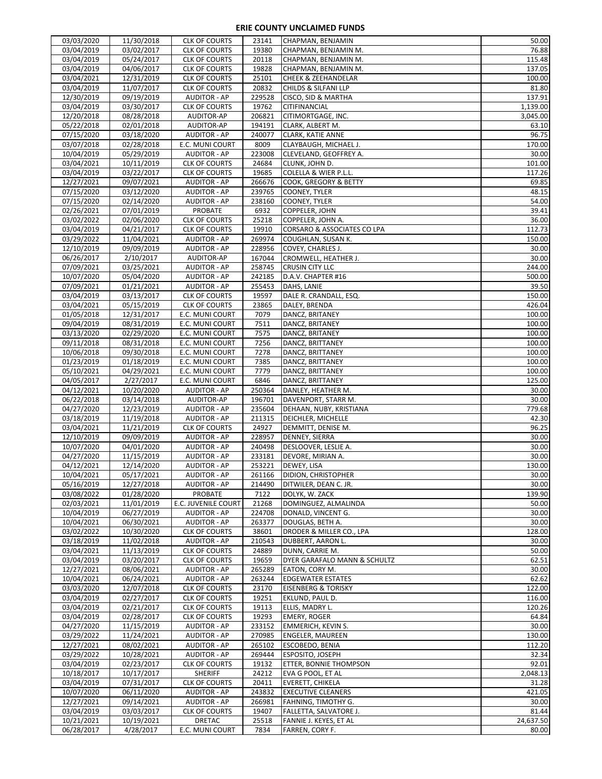| 03/03/2020               | 11/30/2018               | <b>CLK OF COURTS</b>                       | 23141            | CHAPMAN, BENJAMIN                                    | 50.00              |
|--------------------------|--------------------------|--------------------------------------------|------------------|------------------------------------------------------|--------------------|
| 03/04/2019               | 03/02/2017               | <b>CLK OF COURTS</b>                       | 19380            | CHAPMAN, BENJAMIN M.                                 | 76.88              |
| 03/04/2019               | 05/24/2017               | <b>CLK OF COURTS</b>                       | 20118            | CHAPMAN, BENJAMIN M.                                 | 115.48             |
| 03/04/2019               | 04/06/2017               | <b>CLK OF COURTS</b>                       | 19828            | CHAPMAN, BENJAMIN M.                                 | 137.05             |
| 03/04/2021               | 12/31/2019               | <b>CLK OF COURTS</b>                       | 25101            | <b>CHEEK &amp; ZEEHANDELAR</b>                       | 100.00             |
| 03/04/2019               | 11/07/2017               | <b>CLK OF COURTS</b>                       | 20832            | CHILDS & SILFANI LLP                                 | 81.80              |
| 12/30/2019               | 09/19/2019               | <b>AUDITOR - AP</b>                        | 229528           | CISCO, SID & MARTHA                                  | 137.91             |
| 03/04/2019               | 03/30/2017               | <b>CLK OF COURTS</b>                       | 19762            | CITIFINANCIAL                                        | 1,139.00           |
| 12/20/2018               | 08/28/2018               | AUDITOR-AP                                 | 206821           | CITIMORTGAGE, INC.                                   | 3,045.00           |
| 05/22/2018               | 02/01/2018               | AUDITOR-AP                                 | 194191           | CLARK, ALBERT M.                                     | 63.10              |
| 07/15/2020               | 03/18/2020               | <b>AUDITOR - AP</b><br>E.C. MUNI COURT     | 240077           | <b>CLARK, KATIE ANNE</b>                             | 96.75<br>170.00    |
| 03/07/2018<br>10/04/2019 | 02/28/2018<br>05/29/2019 | <b>AUDITOR - AP</b>                        | 8009<br>223008   | CLAYBAUGH, MICHAEL J.<br>CLEVELAND, GEOFFREY A.      | 30.00              |
| 03/04/2021               | 10/11/2019               | <b>CLK OF COURTS</b>                       | 24684            | CLUNK, JOHN D.                                       | 101.00             |
| 03/04/2019               | 03/22/2017               | <b>CLK OF COURTS</b>                       | 19685            | COLELLA & WIER P.L.L.                                | 117.26             |
| 12/27/2021               | 09/07/2021               | <b>AUDITOR - AP</b>                        | 266676           | COOK, GREGORY & BETTY                                | 69.85              |
| 07/15/2020               | 03/12/2020               | <b>AUDITOR - AP</b>                        | 239765           | COONEY, TYLER                                        | 48.15              |
| 07/15/2020               | 02/14/2020               | <b>AUDITOR - AP</b>                        | 238160           | <b>COONEY, TYLER</b>                                 | 54.00              |
| 02/26/2021               | 07/01/2019               | PROBATE                                    | 6932             | COPPELER, JOHN                                       | 39.41              |
| 03/02/2022               | 02/06/2020               | <b>CLK OF COURTS</b>                       | 25218            | COPPELER, JOHN A.                                    | 36.00              |
| 03/04/2019               | 04/21/2017               | <b>CLK OF COURTS</b>                       | 19910            | CORSARO & ASSOCIATES CO LPA                          | 112.73             |
| 03/29/2022               | 11/04/2021               | <b>AUDITOR - AP</b>                        | 269974           | COUGHLAN, SUSAN K.                                   | 150.00             |
| 12/10/2019               | 09/09/2019               | <b>AUDITOR - AP</b>                        | 228956           | COVEY, CHARLES J.                                    | 30.00              |
| 06/26/2017               | 2/10/2017                | AUDITOR-AP                                 | 167044           | CROMWELL, HEATHER J.                                 | 30.00              |
| 07/09/2021               | 03/25/2021               | <b>AUDITOR - AP</b>                        | 258745           | <b>CRUSIN CITY LLC</b>                               | 244.00             |
| 10/07/2020               | 05/04/2020               | <b>AUDITOR - AP</b>                        | 242185           | D.A.V. CHAPTER #16                                   | 500.00             |
| 07/09/2021               | 01/21/2021               | <b>AUDITOR - AP</b>                        | 255453           | DAHS, LANIE                                          | 39.50              |
| 03/04/2019               | 03/13/2017               | <b>CLK OF COURTS</b>                       | 19597            | DALE R. CRANDALL, ESQ.                               | 150.00             |
| 03/04/2021               | 05/15/2019               | <b>CLK OF COURTS</b>                       | 23865            | DALEY, BRENDA                                        | 426.04             |
| 01/05/2018               | 12/31/2017               | E.C. MUNI COURT                            | 7079             | DANCZ, BRITANEY                                      | 100.00             |
| 09/04/2019               | 08/31/2019               | E.C. MUNI COURT                            | 7511             | DANCZ, BRITANEY                                      | 100.00             |
| 03/13/2020               | 02/29/2020               | E.C. MUNI COURT                            | 7575             | DANCZ, BRITANEY                                      | 100.00             |
| 09/11/2018               | 08/31/2018               | E.C. MUNI COURT                            | 7256             | DANCZ, BRITTANEY                                     | 100.00             |
| 10/06/2018               | 09/30/2018               | E.C. MUNI COURT                            | 7278             | DANCZ, BRITTANEY                                     | 100.00             |
| 01/23/2019               | $\overline{01/18/2019}$  | E.C. MUNI COURT                            | 7385             | DANCZ, BRITTANEY                                     | 100.00             |
| 05/10/2021               | 04/29/2021<br>2/27/2017  | E.C. MUNI COURT<br>E.C. MUNI COURT         | 7779<br>6846     | DANCZ, BRITTANEY<br>DANCZ, BRITTANEY                 | 100.00<br>125.00   |
| 04/05/2017               |                          |                                            |                  |                                                      |                    |
|                          |                          |                                            |                  |                                                      |                    |
| 04/12/2021               | 10/20/2020               | <b>AUDITOR - AP</b>                        | 250364           | DANLEY, HEATHER M.                                   | 30.00              |
| 06/22/2018               | 03/14/2018               | AUDITOR-AP                                 | 196701           | DAVENPORT, STARR M.                                  | 30.00              |
| 04/27/2020               | 12/23/2019               | <b>AUDITOR - AP</b>                        | 235604           | DEHAAN, NUBY, KRISTIANA                              | 779.68             |
| 03/18/2019               | 11/19/2018               | <b>AUDITOR - AP</b>                        | 211315           | <b>DEICHLER, MICHELLE</b>                            | 42.30              |
| 03/04/2021               | 11/21/2019               | <b>CLK OF COURTS</b>                       | 24927            | DEMMITT, DENISE M.                                   | 96.25              |
| 12/10/2019               | 09/09/2019               | <b>AUDITOR - AP</b><br><b>AUDITOR - AP</b> | 228957<br>240498 | DENNEY, SIERRA<br>DESLOOVER, LESLIE A.               | 30.00<br>30.00     |
| 10/07/2020<br>04/27/2020 | 04/01/2020<br>11/15/2019 | <b>AUDITOR - AP</b>                        | 233181           | DEVORE, MIRIAN A.                                    | 30.00              |
| 04/12/2021               | 12/14/2020               | <b>AUDITOR - AP</b>                        | 253221           | DEWEY, LISA                                          | 130.00             |
| 10/04/2021               | 05/17/2021               | <b>AUDITOR - AP</b>                        | 261166           | <b>DIDION, CHRISTOPHER</b>                           |                    |
| 05/16/2019               | 12/27/2018               | <b>AUDITOR - AP</b>                        | 214490           | DITWILER, DEAN C. JR.                                | 30.00<br>30.00     |
| 03/08/2022               | 01/28/2020               | <b>PROBATE</b>                             | 7122             | DOLYK, W. ZACK                                       | 139.90             |
| 02/03/2021               | 11/01/2019               | E.C. JUVENILE COURT                        | 21268            | DOMINGUEZ, ALMALINDA                                 | 50.00              |
| 10/04/2019               | 06/27/2019               | <b>AUDITOR - AP</b>                        | 224708           | DONALD, VINCENT G.                                   | 30.00              |
| 10/04/2021               | 06/30/2021               | <b>AUDITOR - AP</b>                        | 263377           | DOUGLAS, BETH A.                                     | 30.00              |
| 03/02/2022               | 10/30/2020               | <b>CLK OF COURTS</b>                       | 38601            | DRODER & MILLER CO., LPA                             | 128.00             |
| 03/18/2019               | 11/02/2018               | <b>AUDITOR - AP</b>                        | 210543           | DUBBERT, AARON L.                                    | 30.00              |
| 03/04/2021               | 11/13/2019               | <b>CLK OF COURTS</b>                       | 24889            | DUNN, CARRIE M.                                      | 50.00              |
| 03/04/2019               | 03/20/2017               | <b>CLK OF COURTS</b>                       | 19659            | DYER GARAFALO MANN & SCHULTZ                         | 62.51              |
| 12/27/2021               | 08/06/2021               | AUDITOR - AP                               | 265289           | EATON, CORY M.                                       | 30.00              |
| 10/04/2021               | 06/24/2021               | <b>AUDITOR - AP</b>                        | 263244           | <b>EDGEWATER ESTATES</b>                             | 62.62              |
| 03/03/2020               | 12/07/2018               | <b>CLK OF COURTS</b>                       | 23170            | <b>EISENBERG &amp; TORISKY</b>                       | 122.00             |
| 03/04/2019               | 02/27/2017               | <b>CLK OF COURTS</b>                       | 19251            | EKLUND, PAUL D.                                      | 116.00             |
| 03/04/2019               | 02/21/2017               | <b>CLK OF COURTS</b>                       | 19113            | ELLIS, MADRY L.                                      | 120.26             |
| 03/04/2019               | 02/28/2017               | <b>CLK OF COURTS</b>                       | 19293            | <b>EMERY, ROGER</b>                                  | 64.84              |
| 04/27/2020<br>03/29/2022 | 11/15/2019<br>11/24/2021 | <b>AUDITOR - AP</b><br><b>AUDITOR - AP</b> | 233152<br>270985 | <b>EMMERICH, KEVIN S.</b><br><b>ENGELER, MAUREEN</b> | 30.00<br>130.00    |
| 12/27/2021               | 08/02/2021               | <b>AUDITOR - AP</b>                        | 265102           | <b>ESCOBEDO, BENIA</b>                               | 112.20             |
| 03/29/2022               | 10/28/2021               | <b>AUDITOR - AP</b>                        | 269444           | <b>ESPOSITO, JOSEPH</b>                              | 32.34              |
| 03/04/2019               | 02/23/2017               | <b>CLK OF COURTS</b>                       | 19132            | <b>ETTER, BONNIE THOMPSON</b>                        | 92.01              |
| 10/18/2017               | 10/17/2017               | <b>SHERIFF</b>                             | 24212            | EVA G POOL, ET AL                                    | 2,048.13           |
| 03/04/2019               | 07/31/2017               | <b>CLK OF COURTS</b>                       | 20411            | <b>EVERETT, CHIKELA</b>                              | 31.28              |
| 10/07/2020               | 06/11/2020               | <b>AUDITOR - AP</b>                        | 243832           | <b>EXECUTIVE CLEANERS</b>                            | 421.05             |
| 12/27/2021               | 09/14/2021               | <b>AUDITOR - AP</b>                        | 266981           | FAHNING, TIMOTHY G.                                  | 30.00              |
| 03/04/2019               | 03/03/2017               | <b>CLK OF COURTS</b>                       | 19407            | FALLETTA, SALVATORE J.                               | 81.44              |
| 10/21/2021<br>06/28/2017 | 10/19/2021<br>4/28/2017  | <b>DRETAC</b><br>E.C. MUNI COURT           | 25518<br>7834    | FANNIE J. KEYES, ET AL<br>FARREN, CORY F.            | 24,637.50<br>80.00 |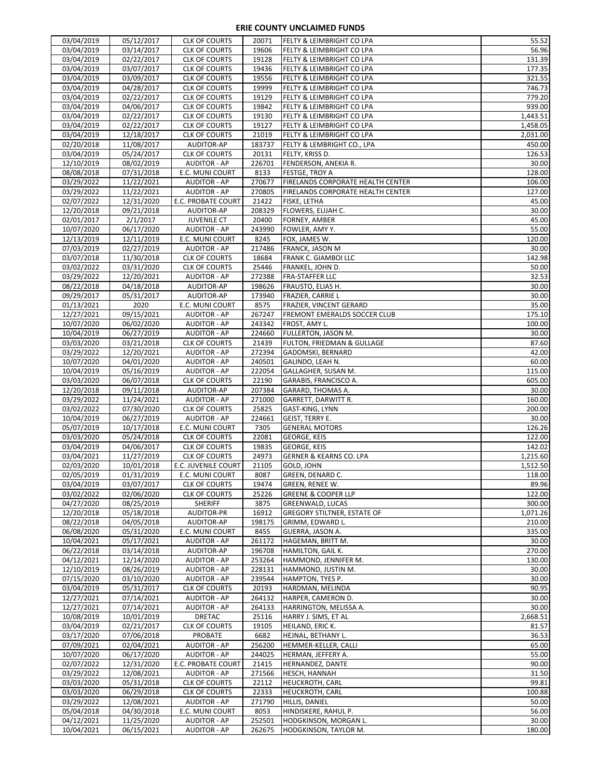| 03/04/2019               | 05/12/2017               | <b>CLK OF COURTS</b>                       | 20071            | <b>FELTY &amp; LEIMBRIGHT CO LPA</b>                  | 55.52           |
|--------------------------|--------------------------|--------------------------------------------|------------------|-------------------------------------------------------|-----------------|
| 03/04/2019               | 03/14/2017               | <b>CLK OF COURTS</b>                       | 19606            | FELTY & LEIMBRIGHT CO LPA                             | 56.96           |
| 03/04/2019               | 02/22/2017               | <b>CLK OF COURTS</b>                       | 19128            | FELTY & LEIMBRIGHT CO LPA                             | 131.39          |
| 03/04/2019               | 03/07/2017               | <b>CLK OF COURTS</b>                       | 19436            | FELTY & LEIMBRIGHT CO LPA                             | 177.35          |
|                          |                          |                                            |                  |                                                       |                 |
| 03/04/2019               | 03/09/2017               | <b>CLK OF COURTS</b>                       | 19556            | FELTY & LEIMBRIGHT CO LPA                             | 321.55          |
| 03/04/2019               | 04/28/2017               | <b>CLK OF COURTS</b>                       | 19999            | FELTY & LEIMBRIGHT CO LPA                             | 746.73          |
| 03/04/2019               | 02/22/2017               | <b>CLK OF COURTS</b>                       | 19129            | FELTY & LEIMBRIGHT CO LPA                             | 779.20          |
| 03/04/2019               | 04/06/2017               | <b>CLK OF COURTS</b>                       | 19842            | FELTY & LEIMBRIGHT CO LPA                             | 939.00          |
| 03/04/2019               | 02/22/2017               | <b>CLK OF COURTS</b>                       | 19130            | FELTY & LEIMBRIGHT CO LPA                             | 1,443.51        |
| 03/04/2019               | 02/22/2017               | <b>CLK OF COURTS</b>                       | 19127            | FELTY & LEIMBRIGHT CO LPA                             | 1,458.05        |
| 03/04/2019               |                          |                                            | 21019            |                                                       | 2,031.00        |
|                          | 12/18/2017               | <b>CLK OF COURTS</b>                       |                  | FELTY & LEIMBRIGHT CO LPA                             |                 |
| 02/20/2018               | 11/08/2017               | AUDITOR-AP                                 | 183737           | FELTY & LEMBRIGHT CO., LPA                            | 450.00          |
| 03/04/2019               | 05/24/2017               | <b>CLK OF COURTS</b>                       | 20131            | FELTY, KRISS D.                                       | 126.53          |
| 12/10/2019               | 08/02/2019               | <b>AUDITOR - AP</b>                        | 226701           | FENDERSON, ANEKIA R.                                  | 30.00           |
| 08/08/2018               | 07/31/2018               | E.C. MUNI COURT                            | 8133             | <b>FESTGE, TROY A</b>                                 | 128.00          |
| 03/29/2022               | 11/22/2021               | <b>AUDITOR - AP</b>                        | 270677           | FIRELANDS CORPORATE HEALTH CENTER                     | 106.00          |
| 03/29/2022               | 11/22/2021               | <b>AUDITOR - AP</b>                        | 270805           | FIRELANDS CORPORATE HEALTH CENTER                     | 127.00          |
|                          |                          |                                            |                  |                                                       |                 |
| 02/07/2022               | 12/31/2020               | E.C. PROBATE COURT                         | 21422            | <b>FISKE, LETHA</b>                                   | 45.00           |
| 12/20/2018               | 09/21/2018               | AUDITOR-AP                                 | 208329           | FLOWERS, ELIJAH C.                                    | 30.00           |
| 02/01/2017               | 2/1/2017                 | <b>JUVENILE CT</b>                         | 20400            | FORNEY, AMBER                                         | 45.00           |
| 10/07/2020               | 06/17/2020               | <b>AUDITOR - AP</b>                        | 243990           | FOWLER, AMY Y.                                        | 55.00           |
| 12/13/2019               | 12/11/2019               | E.C. MUNI COURT                            | 8245             | FOX, JAMES W.                                         | 120.00          |
| 07/03/2019               | 02/27/2019               | <b>AUDITOR - AP</b>                        | 217486           | <b>FRANCK, JASON M</b>                                | 30.00           |
| 03/07/2018               | 11/30/2018               | <b>CLK OF COURTS</b>                       | 18684            |                                                       | 142.98          |
|                          |                          |                                            |                  | FRANK C. GIAMBOI LLC                                  |                 |
| 03/02/2022               | 03/31/2020               | <b>CLK OF COURTS</b>                       | 25446            | FRANKEL, JOHN D.                                      | 50.00           |
| 03/29/2022               | 12/20/2021               | <b>AUDITOR - AP</b>                        | 272388           | <b>FRA-STAFFER LLC</b>                                | 32.53           |
| 08/22/2018               | 04/18/2018               | <b>AUDITOR-AP</b>                          | 198626           | FRAUSTO, ELIAS H.                                     | 30.00           |
| 09/29/2017               | 05/31/2017               | AUDITOR-AP                                 | 173940           | <b>FRAZIER, CARRIE L</b>                              | 30.00           |
| 01/13/2021               | 2020                     | E.C. MUNI COURT                            | 8575             | FRAZIER, VINCENT GERARD                               | 35.00           |
| 12/27/2021               | 09/15/2021               | <b>AUDITOR - AP</b>                        | 267247           | FREMONT EMERALDS SOCCER CLUB                          | 175.10          |
|                          |                          |                                            |                  |                                                       |                 |
| 10/07/2020               | 06/02/2020               | <b>AUDITOR - AP</b>                        | 243342           | FROST, AMY L.                                         | 100.00          |
| 10/04/2019               | 06/27/2019               | <b>AUDITOR - AP</b>                        | 224660           | FULLERTON, JASON M.                                   | 30.00           |
| 03/03/2020               | 03/21/2018               | <b>CLK OF COURTS</b>                       | 21439            | FULTON, FRIEDMAN & GULLAGE                            | 87.60           |
| 03/29/2022               | 12/20/2021               | <b>AUDITOR - AP</b>                        | 272394           | GADOMSKI, BERNARD                                     | 42.00           |
| 10/07/2020               | 04/01/2020               | <b>AUDITOR - AP</b>                        | 240501           | GALINDO, LEAH N.                                      | 60.00           |
| 10/04/2019               | 05/16/2019               | <b>AUDITOR - AP</b>                        | 222054           | GALLAGHER, SUSAN M.                                   | 115.00          |
| 03/03/2020               | 06/07/2018               | <b>CLK OF COURTS</b>                       | 22190            | GARABIS, FRANCISCO A.                                 | 605.00          |
|                          |                          |                                            |                  |                                                       |                 |
|                          |                          |                                            |                  |                                                       |                 |
| 12/20/2018               | 09/11/2018               | AUDITOR-AP                                 | 207384           | GARARD, THOMAS A.                                     | 30.00           |
| 03/29/2022               | 11/24/2021               | <b>AUDITOR - AP</b>                        | 271000           | GARRETT, DARWITT R.                                   | 160.00          |
| 03/02/2022               | 07/30/2020               | <b>CLK OF COURTS</b>                       | 25825            | GAST-KING, LYNN                                       | 200.00          |
| 10/04/2019               | 06/27/2019               | AUDITOR - AP                               | 224661           | GEIST, TERRY E.                                       | 30.00           |
|                          |                          |                                            |                  |                                                       |                 |
| 05/07/2019               | 10/17/2018               | E.C. MUNI COURT                            | 7305             | <b>GENERAL MOTORS</b>                                 | 126.26          |
| 03/03/2020               | 05/24/2018               | <b>CLK OF COURTS</b>                       | 22081            | <b>GEORGE, KEIS</b>                                   | 122.00          |
| 03/04/2019               | 04/06/2017               | <b>CLK OF COURTS</b>                       | 19835            | <b>GEORGE, KEIS</b>                                   | 142.02          |
| 03/04/2021               | 11/27/2019               | <b>CLK OF COURTS</b>                       | 24973            | <b>GERNER &amp; KEARNS CO. LPA</b>                    | 1,215.60        |
| 02/03/2020               | 10/01/2018               | E.C. JUVENILE COURT                        | 21105            | GOLD, JOHN                                            | 1,512.50        |
| 02/05/2019               | 01/31/2019               | E.C. MUNI COURT                            | 8087             | GREEN, DENARD C.                                      |                 |
| 03/04/2019               | 03/07/2017               | <b>CLK OF COURTS</b>                       | 19474            | <b>GREEN, RENEE W.</b>                                | 89.96           |
|                          |                          |                                            | 25226            | <b>GREENE &amp; COOPER LLP</b>                        | 122.00          |
| 03/02/2022               | 02/06/2020               | <b>CLK OF COURTS</b>                       |                  |                                                       |                 |
| 04/27/2020               | 08/25/2019               | <b>SHERIFF</b>                             | 3875             | GREENWALD, LUCAS                                      | 300.00          |
| 12/20/2018               | 05/18/2018               | <b>AUDITOR-PR</b>                          | 16912            | <b>GREGORY STILTNER, ESTATE OF</b>                    | 1,071.26        |
| 08/22/2018               | 04/05/2018               | AUDITOR-AP                                 | 198175           | GRIMM, EDWARD L.                                      | 210.00          |
| 06/08/2020               | 05/31/2020               | E.C. MUNI COURT                            | 8455             | GUERRA, JASON A.                                      | 335.00          |
| 10/04/2021               | 05/17/2021               | <b>AUDITOR - AP</b>                        | 261172           | HAGEMAN, BRITT M.                                     | 118.00<br>30.00 |
| 06/22/2018               | 03/14/2018               | AUDITOR-AP                                 | 196708           | HAMILTON, GAIL K.                                     | 270.00          |
| 04/12/2021               | 12/14/2020               | <b>AUDITOR - AP</b>                        | 253264           | HAMMOND, JENNIFER M.                                  | 130.00          |
|                          |                          |                                            |                  |                                                       |                 |
| 12/10/2019               | 08/26/2019               | <b>AUDITOR - AP</b>                        | 228131           | HAMMOND, JUSTIN M.                                    | 30.00           |
| 07/15/2020               | 03/10/2020               | <b>AUDITOR - AP</b>                        | 239544           | HAMPTON, TYES P.                                      | 30.00           |
| 03/04/2019               | 05/31/2017               | <b>CLK OF COURTS</b>                       | 20193            | HARDMAN, MELINDA                                      | 90.95           |
| 12/27/2021               | 07/14/2021               | <b>AUDITOR - AP</b>                        | 264132           | HARPER, CAMERON D.                                    | 30.00           |
| 12/27/2021               | 07/14/2021               | <b>AUDITOR - AP</b>                        | 264133           | HARRINGTON, MELISSA A.                                | 30.00           |
| 10/08/2019               | 10/01/2019               | DRETAC                                     | 25116            | HARRY J. SIMS, ET AL                                  | 2,668.51        |
|                          |                          |                                            |                  |                                                       |                 |
| 03/04/2019               | 02/21/2017               | <b>CLK OF COURTS</b>                       | 19105            | HEILAND, ERIC K.                                      | 81.57           |
| 03/17/2020               | 07/06/2018               | <b>PROBATE</b>                             | 6682             | HEJNAL, BETHANY L.                                    | 36.53           |
| 07/09/2021               | 02/04/2021               | <b>AUDITOR - AP</b>                        | 256200           | HEMMER-KELLER, CALLI                                  | 65.00           |
| 10/07/2020               | 06/17/2020               | <b>AUDITOR - AP</b>                        | 244025           | HERMAN, JEFFERY A.                                    | 55.00           |
| 02/07/2022               | 12/31/2020               | E.C. PROBATE COURT                         | 21415            | HERNANDEZ, DANTE                                      | 90.00           |
| 03/29/2022               | 12/08/2021               | <b>AUDITOR - AP</b>                        | 271566           | <b>HESCH, HANNAH</b>                                  | 31.50           |
| 03/03/2020               | 05/31/2018               | <b>CLK OF COURTS</b>                       | 22112            | <b>HEUCKROTH, CARL</b>                                | 99.81           |
|                          |                          |                                            |                  |                                                       |                 |
| 03/03/2020               | 06/29/2018               | <b>CLK OF COURTS</b>                       | 22333            | <b>HEUCKROTH, CARL</b>                                | 100.88          |
| 03/29/2022               | 12/08/2021               | <b>AUDITOR - AP</b>                        | 271790           | HILLIS, DANIEL                                        | 50.00           |
| 05/04/2018               | 04/30/2018               | E.C. MUNI COURT                            | 8053             | HINDISKERE, RAHUL P.                                  | 56.00           |
| 04/12/2021<br>10/04/2021 | 11/25/2020<br>06/15/2021 | <b>AUDITOR - AP</b><br><b>AUDITOR - AP</b> | 252501<br>262675 | HODGKINSON, MORGAN L.<br><b>HODGKINSON, TAYLOR M.</b> | 30.00<br>180.00 |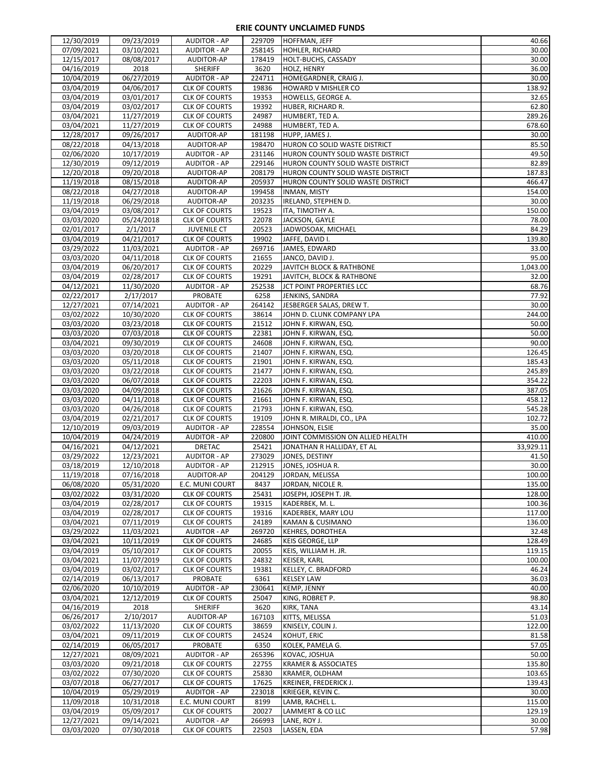| 12/30/2019 | 09/23/2019 | <b>AUDITOR - AP</b>  | 229709 | <b>HOFFMAN, JEFF</b>              | 40.66     |
|------------|------------|----------------------|--------|-----------------------------------|-----------|
| 07/09/2021 | 03/10/2021 | <b>AUDITOR - AP</b>  | 258145 | HOHLER, RICHARD                   | 30.00     |
| 12/15/2017 | 08/08/2017 | AUDITOR-AP           | 178419 | HOLT-BUCHS, CASSADY               | 30.00     |
|            |            |                      |        |                                   |           |
| 04/16/2019 | 2018       | <b>SHERIFF</b>       | 3620   | <b>HOLZ, HENRY</b>                | 36.00     |
| 10/04/2019 | 06/27/2019 | AUDITOR - AP         | 224711 | HOMEGARDNER, CRAIG J.             | 30.00     |
| 03/04/2019 | 04/06/2017 | <b>CLK OF COURTS</b> | 19836  | HOWARD V MISHLER CO               | 138.92    |
| 03/04/2019 | 03/01/2017 | <b>CLK OF COURTS</b> | 19353  | HOWELLS, GEORGE A.                | 32.65     |
| 03/04/2019 | 03/02/2017 | <b>CLK OF COURTS</b> | 19392  | HUBER, RICHARD R.                 | 62.80     |
| 03/04/2021 | 11/27/2019 | <b>CLK OF COURTS</b> | 24987  | HUMBERT, TED A.                   | 289.26    |
| 03/04/2021 | 11/27/2019 | <b>CLK OF COURTS</b> | 24988  | HUMBERT, TED A.                   | 678.60    |
|            |            |                      |        |                                   |           |
| 12/28/2017 | 09/26/2017 | AUDITOR-AP           | 181198 | HUPP, JAMES J.                    | 30.00     |
| 08/22/2018 | 04/13/2018 | AUDITOR-AP           | 198470 | HURON CO SOLID WASTE DISTRICT     | 85.50     |
| 02/06/2020 | 10/17/2019 | <b>AUDITOR - AP</b>  | 231146 | HURON COUNTY SOLID WASTE DISTRICT | 49.50     |
| 12/30/2019 | 09/12/2019 | <b>AUDITOR - AP</b>  | 229146 | HURON COUNTY SOLID WASTE DISTRICT | 82.89     |
| 12/20/2018 | 09/20/2018 | <b>AUDITOR-AP</b>    | 208179 | HURON COUNTY SOLID WASTE DISTRICT | 187.83    |
| 11/19/2018 | 08/15/2018 | AUDITOR-AP           | 205937 | HURON COUNTY SOLID WASTE DISTRICT | 466.47    |
| 08/22/2018 | 04/27/2018 | AUDITOR-AP           | 199458 | <b>INMAN, MISTY</b>               | 154.00    |
| 11/19/2018 | 06/29/2018 | AUDITOR-AP           | 203235 | IRELAND, STEPHEN D.               | 30.00     |
|            |            |                      |        |                                   |           |
| 03/04/2019 | 03/08/2017 | <b>CLK OF COURTS</b> | 19523  | ITA, TIMOTHY A.                   | 150.00    |
| 03/03/2020 | 05/24/2018 | <b>CLK OF COURTS</b> | 22078  | JACKSON, GAYLE                    | 78.00     |
| 02/01/2017 | 2/1/2017   | <b>JUVENILE CT</b>   | 20523  | JADWOSOAK, MICHAEL                | 84.29     |
| 03/04/2019 | 04/21/2017 | <b>CLK OF COURTS</b> | 19902  | JAFFE, DAVID I.                   | 139.80    |
| 03/29/2022 | 11/03/2021 | <b>AUDITOR - AP</b>  | 269716 | JAMES, EDWARD                     | 33.00     |
| 03/03/2020 | 04/11/2018 | <b>CLK OF COURTS</b> | 21655  | JANCO, DAVID J.                   | 95.00     |
| 03/04/2019 | 06/20/2017 | <b>CLK OF COURTS</b> | 20229  | JAVITCH BLOCK & RATHBONE          | 1,043.00  |
|            |            |                      |        |                                   |           |
| 03/04/2019 | 02/28/2017 | <b>CLK OF COURTS</b> | 19291  | JAVITCH, BLOCK & RATHBONE         | 32.00     |
| 04/12/2021 | 11/30/2020 | <b>AUDITOR - AP</b>  | 252538 | JCT POINT PROPERTIES LCC          | 68.76     |
| 02/22/2017 | 2/17/2017  | PROBATE              | 6258   | JENKINS, SANDRA                   | 77.92     |
| 12/27/2021 | 07/14/2021 | <b>AUDITOR - AP</b>  | 264142 | JESBERGER SALAS, DREW T.          | 30.00     |
| 03/02/2022 | 10/30/2020 | <b>CLK OF COURTS</b> | 38614  | JOHN D. CLUNK COMPANY LPA         | 244.00    |
| 03/03/2020 | 03/23/2018 | <b>CLK OF COURTS</b> | 21512  | JOHN F. KIRWAN, ESQ.              | 50.00     |
| 03/03/2020 | 07/03/2018 | <b>CLK OF COURTS</b> | 22381  | JOHN F. KIRWAN, ESQ.              | 50.00     |
| 03/04/2021 | 09/30/2019 | <b>CLK OF COURTS</b> | 24608  | JOHN F. KIRWAN, ESQ.              | 90.00     |
|            |            |                      |        |                                   |           |
| 03/03/2020 | 03/20/2018 | <b>CLK OF COURTS</b> | 21407  | JOHN F. KIRWAN, ESQ.              | 126.45    |
| 03/03/2020 | 05/11/2018 | <b>CLK OF COURTS</b> | 21901  | JOHN F. KIRWAN, ESQ.              | 185.43    |
| 03/03/2020 | 03/22/2018 | <b>CLK OF COURTS</b> | 21477  | JOHN F. KIRWAN, ESQ.              | 245.89    |
| 03/03/2020 | 06/07/2018 | <b>CLK OF COURTS</b> | 22203  | JOHN F. KIRWAN, ESQ.              | 354.22    |
| 03/03/2020 | 04/09/2018 | <b>CLK OF COURTS</b> | 21626  | JOHN F. KIRWAN, ESQ.              | 387.05    |
| 03/03/2020 | 04/11/2018 | <b>CLK OF COURTS</b> | 21661  | JOHN F. KIRWAN, ESQ.              | 458.12    |
| 03/03/2020 | 04/26/2018 | <b>CLK OF COURTS</b> | 21793  | JOHN F. KIRWAN, ESQ.              | 545.28    |
|            |            |                      |        |                                   | 102.72    |
| 03/04/2019 | 02/21/2017 | <b>CLK OF COURTS</b> | 19109  | JOHN R. MIRALDI, CO., LPA         |           |
| 12/10/2019 | 09/03/2019 | <b>AUDITOR - AP</b>  | 228554 | JOHNSON, ELSIE                    | 35.00     |
| 10/04/2019 | 04/24/2019 | <b>AUDITOR - AP</b>  | 220800 | JOINT COMMISSION ON ALLIED HEALTH | 410.00    |
| 04/16/2021 | 04/12/2021 | <b>DRETAC</b>        | 25421  | JONATHAN R HALLIDAY, ET AL        | 33,929.11 |
| 03/29/2022 | 12/23/2021 | <b>AUDITOR - AP</b>  | 273029 | JONES, DESTINY                    | 41.50     |
| 03/18/2019 | 12/10/2018 | <b>AUDITOR - AP</b>  | 212915 | JONES, JOSHUA R.                  | 30.00     |
| 11/19/2018 | 07/16/2018 | <b>AUDITOR-AP</b>    | 204129 | JORDAN, MELISSA                   | 100.00    |
| 06/08/2020 | 05/31/2020 | E.C. MUNI COURT      | 8437   | JORDAN, NICOLE R.                 | 135.00    |
|            | 03/31/2020 |                      |        | JOSEPH, JOSEPH T. JR.             | 128.00    |
| 03/02/2022 |            | <b>CLK OF COURTS</b> | 25431  |                                   |           |
| 03/04/2019 | 02/28/2017 | <b>CLK OF COURTS</b> | 19315  | KADERBEK, M. L.                   | 100.36    |
| 03/04/2019 | 02/28/2017 | <b>CLK OF COURTS</b> | 19316  | KADERBEK, MARY LOU                | 117.00    |
| 03/04/2021 | 07/11/2019 | <b>CLK OF COURTS</b> | 24189  | <b>KAMAN &amp; CUSIMANO</b>       | 136.00    |
| 03/29/2022 | 11/03/2021 | <b>AUDITOR - AP</b>  | 269720 | KEHRES, DOROTHEA                  | 32.48     |
| 03/04/2021 | 10/11/2019 | <b>CLK OF COURTS</b> | 24685  | <b>KEIS GEORGE, LLP</b>           | 128.49    |
| 03/04/2019 | 05/10/2017 | <b>CLK OF COURTS</b> | 20055  | KEIS, WILLIAM H. JR.              | 119.15    |
| 03/04/2021 | 11/07/2019 | <b>CLK OF COURTS</b> | 24832  | KEISER, KARL                      | 100.00    |
| 03/04/2019 | 03/02/2017 | <b>CLK OF COURTS</b> | 19381  |                                   | 46.24     |
|            |            |                      |        | KELLEY, C. BRADFORD               |           |
| 02/14/2019 | 06/13/2017 | <b>PROBATE</b>       | 6361   | <b>KELSEY LAW</b>                 | 36.03     |
| 02/06/2020 | 10/10/2019 | <b>AUDITOR - AP</b>  | 230641 | <b>KEMP, JENNY</b>                | 40.00     |
| 03/04/2021 | 12/12/2019 | <b>CLK OF COURTS</b> | 25047  | KING, ROBRET P.                   | 98.80     |
| 04/16/2019 | 2018       | <b>SHERIFF</b>       | 3620   | KIRK, TANA                        | 43.14     |
| 06/26/2017 | 2/10/2017  | AUDITOR-AP           | 167103 | KITTS, MELISSA                    | 51.03     |
| 03/02/2022 | 11/13/2020 | <b>CLK OF COURTS</b> | 38659  | KNISELY, COLIN J.                 | 122.00    |
| 03/04/2021 | 09/11/2019 | <b>CLK OF COURTS</b> | 24524  | KOHUT, ERIC                       | 81.58     |
| 02/14/2019 | 06/05/2017 | <b>PROBATE</b>       | 6350   | KOLEK, PAMELA G.                  | 57.05     |
|            |            |                      |        |                                   |           |
| 12/27/2021 | 08/09/2021 | <b>AUDITOR - AP</b>  | 265396 | KOVAC, JOSHUA                     | 50.00     |
| 03/03/2020 | 09/21/2018 | <b>CLK OF COURTS</b> | 22755  | <b>KRAMER &amp; ASSOCIATES</b>    | 135.80    |
| 03/02/2022 | 07/30/2020 | <b>CLK OF COURTS</b> | 25830  | KRAMER, OLDHAM                    | 103.65    |
| 03/07/2018 | 06/27/2017 | <b>CLK OF COURTS</b> | 17625  | <b>KREINER, FREDERICK J.</b>      | 139.43    |
| 10/04/2019 | 05/29/2019 | <b>AUDITOR - AP</b>  | 223018 | KRIEGER, KEVIN C.                 | 30.00     |
| 11/09/2018 | 10/31/2018 | E.C. MUNI COURT      | 8199   | LAMB, RACHEL L.                   | 115.00    |
| 03/04/2019 | 05/09/2017 | <b>CLK OF COURTS</b> | 20027  | LAMMERT & CO LLC                  | 129.19    |
|            |            |                      |        |                                   |           |
| 12/27/2021 | 09/14/2021 | <b>AUDITOR - AP</b>  | 266993 | LANE, ROY J.                      | 30.00     |
| 03/03/2020 | 07/30/2018 | <b>CLK OF COURTS</b> | 22503  | LASSEN, EDA                       | 57.98     |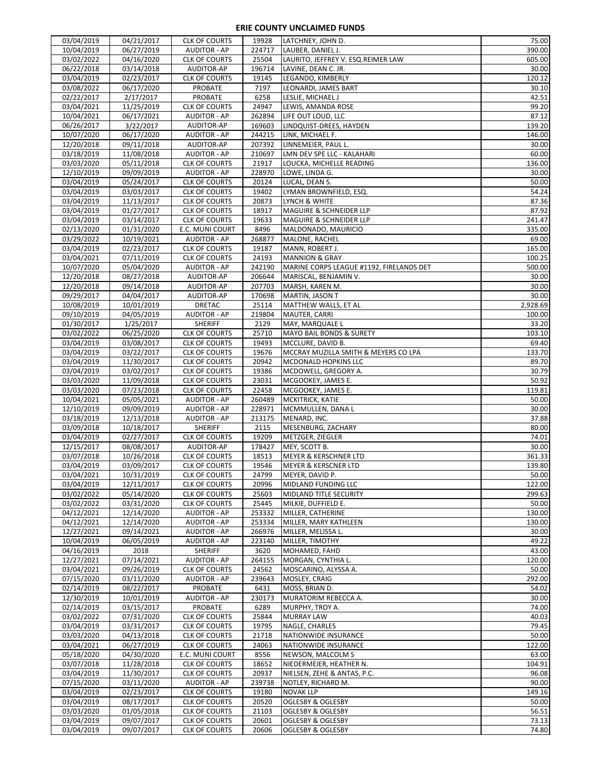| 06/27/2019<br>10/04/2019<br><b>AUDITOR - AP</b><br>224717<br>LAUBER, DANIEL J.<br>390.00<br>605.00<br>03/02/2022<br>04/16/2020<br>25504<br><b>CLK OF COURTS</b><br>LAURITO, JEFFREY V. ESQ.REIMER LAW<br>06/22/2018<br>03/14/2018<br>AUDITOR-AP<br>196714<br>30.00<br>LAVINE, DEAN C. JR.<br>120.12<br>03/04/2019<br>02/23/2017<br><b>CLK OF COURTS</b><br>19145<br>LEGANDO, KIMBERLY<br>06/17/2020<br>30.10<br>03/08/2022<br><b>PROBATE</b><br>7197<br>LEONARDI, JAMES BART<br>02/22/2017<br>2/17/2017<br>PROBATE<br>6258<br>LESLIE, MICHAEL J<br>42.51<br>99.20<br>03/04/2021<br>11/25/2019<br><b>CLK OF COURTS</b><br>24947<br>LEWIS, AMANDA ROSE<br>10/04/2021<br>06/17/2021<br><b>AUDITOR - AP</b><br>262894<br>LIFE OUT LOUD, LLC<br>87.12<br>06/26/2017<br>AUDITOR-AP<br>3/22/2017<br>169603<br>LINDQUIST-DREES, HAYDEN<br>139.20<br>10/07/2020<br>06/17/2020<br>244215<br>146.00<br><b>AUDITOR - AP</b><br>LINK, MICHAEL F.<br>30.00<br>12/20/2018<br>09/11/2018<br><b>AUDITOR-AP</b><br>207392<br>LINNEMEIER, PAUL L.<br>60.00<br>03/18/2019<br>11/08/2018<br>210697<br><b>AUDITOR - AP</b><br>LMN DEV SPE LLC - KALAHARI<br>03/03/2020<br>05/11/2018<br><b>CLK OF COURTS</b><br>21917<br>136.00<br>LOUCKA, MICHELLE READING<br>228970<br>12/10/2019<br>09/09/2019<br><b>AUDITOR - AP</b><br>30.00<br>LOWE, LINDA G.<br>50.00<br>03/04/2019<br>05/24/2017<br><b>CLK OF COURTS</b><br>20124<br>LUCAL, DEAN S.<br>54.24<br>03/04/2019<br>03/03/2017<br><b>CLK OF COURTS</b><br>19402<br>LYMAN BROWNFIELD, ESQ.<br>03/04/2019<br>11/13/2017<br>20873<br>87.36<br><b>CLK OF COURTS</b><br>LYNCH & WHITE<br>03/04/2019<br>01/27/2017<br><b>CLK OF COURTS</b><br>18917<br>MAGUIRE & SCHNEIDER LLP<br>87.92<br>03/04/2019<br>03/14/2017<br><b>CLK OF COURTS</b><br>19633<br>241.47<br>MAGUIRE & SCHNEIDER LLP<br>02/13/2020<br>8496<br>335.00<br>01/31/2020<br>E.C. MUNI COURT<br>MALDONADO, MAURICIO<br>03/29/2022<br>10/19/2021<br><b>AUDITOR - AP</b><br>268877<br>MALONE, RACHEL<br>69.00<br>165.00<br>03/04/2019<br>02/23/2017<br>19187<br><b>CLK OF COURTS</b><br>MANN, ROBERT J.<br>03/04/2021<br>07/11/2019<br><b>CLK OF COURTS</b><br>24193<br><b>MANNION &amp; GRAY</b><br>100.25<br>500.00<br>10/07/2020<br>05/04/2020<br><b>AUDITOR - AP</b><br>242190<br>MARINE CORPS LEAGUE #1192, FIRELANDS DET<br>12/20/2018<br>206644<br>30.00<br>08/27/2018<br>AUDITOR-AP<br>MARISCAL, BENJAMIN V.<br>12/20/2018<br>09/14/2018<br>AUDITOR-AP<br>207703<br>MARSH, KAREN M.<br>30.00<br>30.00<br>09/29/2017<br>04/04/2017<br>AUDITOR-AP<br>170698<br>MARTIN, JASON T<br>2,928.69<br>10/08/2019<br>10/01/2019<br>DRETAC<br>25114<br>MATTHEW WALLS, ET AL<br>09/10/2019<br>04/05/2019<br><b>AUDITOR - AP</b><br>219804<br>100.00<br>MAUTER, CARRI<br><b>SHERIFF</b><br>33.20<br>01/30/2017<br>1/25/2017<br>2129<br>MAY, MARQUALE L<br>03/02/2022<br>06/25/2020<br><b>CLK OF COURTS</b><br>25710<br><b>MAYO BAIL BONDS &amp; SURETY</b><br>103.10<br>03/04/2019<br>03/08/2017<br>19493<br>69.40<br><b>CLK OF COURTS</b><br>MCCLURE, DAVID B.<br>03/04/2019<br>03/22/2017<br><b>CLK OF COURTS</b><br>19676<br>MCCRAY MUZILLA SMITH & MEYERS CO LPA<br>133.70<br>03/04/2019<br>11/30/2017<br><b>CLK OF COURTS</b><br>20942<br>89.70<br>MCDONALD HOPKINS LLC<br>03/04/2019<br>30.79<br>03/02/2017<br><b>CLK OF COURTS</b><br>19386<br>MCDOWELL, GREGORY A.<br>03/03/2020<br>11/09/2018<br><b>CLK OF COURTS</b><br>23031<br>MCGOOKEY, JAMES E.<br>50.92<br>03/03/2020<br>07/23/2018<br>MCGOOKEY, JAMES E.<br>119.81<br><b>CLK OF COURTS</b><br>22458<br>10/04/2021<br>05/05/2021<br><b>AUDITOR - AP</b><br>260489<br>50.00<br>MCKITRICK, KATIE<br>12/10/2019<br>09/09/2019<br><b>AUDITOR - AP</b><br>228971<br>30.00<br>MCMMULLEN, DANA L<br>37.88<br>03/18/2019<br>12/13/2018<br><b>AUDITOR - AP</b><br>213175<br>MENARD, INC.<br>80.00<br>03/09/2018<br>10/18/2017<br><b>SHERIFF</b><br>2115<br>MESENBURG, ZACHARY<br>03/04/2019<br>02/27/2017<br>74.01<br><b>CLK OF COURTS</b><br>19209<br>METZGER, ZIEGLER<br>12/15/2017<br>08/08/2017<br>AUDITOR-AP<br>178427<br>30.00<br>MEY, SCOTT B.<br>03/07/2018<br><b>CLK OF COURTS</b><br>18513<br>361.33<br>10/26/2018<br><b>MEYER &amp; KERSCHNER LTD</b><br>139.80<br>03/04/2019<br>03/09/2017<br><b>CLK OF COURTS</b><br>19546<br><b>MEYER &amp; KERSCNER LTD</b><br>03/04/2021<br>10/31/2019<br><b>CLK OF COURTS</b><br>24799<br>MEYER, DAVID P.<br>03/04/2019<br>12/11/2017<br><b>CLK OF COURTS</b><br>MIDLAND FUNDING LLC<br>122.00<br>20996<br>03/02/2022<br>05/14/2020<br><b>CLK OF COURTS</b><br>25603<br>299.63<br>MIDLAND TITLE SECURITY<br>03/02/2022<br>03/31/2020<br>CLK OF COURTS<br>25445<br>50.00<br>MILKIE, DUFFIELD E.<br>253332<br>04/12/2021<br>12/14/2020<br><b>AUDITOR - AP</b><br>MILLER, CATHERINE<br>130.00<br>04/12/2021<br>12/14/2020<br><b>AUDITOR - AP</b><br>253334<br>MILLER, MARY KATHLEEN<br>130.00<br>12/27/2021<br>09/14/2021<br>266976<br><b>AUDITOR - AP</b><br>MILLER, MELISSA L.<br>30.00<br>10/04/2019<br>06/05/2019<br><b>AUDITOR - AP</b><br>223140<br>49.22<br>MILLER, TIMOTHY<br>04/16/2019<br><b>SHERIFF</b><br>3620<br>2018<br>MOHAMED, FAHD<br>43.00<br>12/27/2021<br>07/14/2021<br><b>AUDITOR - AP</b><br>264155<br>120.00<br>MORGAN, CYNTHIA L.<br>03/04/2021<br>09/26/2019<br><b>CLK OF COURTS</b><br>24562<br>50.00<br>MOSCARINO, ALYSSA A.<br>07/15/2020<br>03/11/2020<br>239643<br>292.00<br><b>AUDITOR - AP</b><br>MOSLEY, CRAIG<br>02/14/2019<br>08/22/2017<br><b>PROBATE</b><br>6431<br>MOSS, BRIAN D.<br>54.02<br>12/30/2019<br>10/01/2019<br>230173<br>30.00<br><b>AUDITOR - AP</b><br>MURATORIM REBECCA A.<br>02/14/2019<br>03/15/2017<br>6289<br>74.00<br><b>PROBATE</b><br>MURPHY, TROY A.<br>03/02/2022<br>07/31/2020<br><b>CLK OF COURTS</b><br>25844<br><b>MURRAY LAW</b><br>40.03<br>03/04/2019<br>03/31/2017<br>19795<br>79.45<br><b>CLK OF COURTS</b><br>NAGLE, CHARLES<br>03/03/2020<br>04/13/2018<br><b>CLK OF COURTS</b><br>21718<br>50.00<br>NATIONWIDE INSURANCE<br>03/04/2021<br>06/27/2019<br>24063<br>122.00<br><b>CLK OF COURTS</b><br>NATIONWIDE INSURANCE<br>05/18/2020<br>04/30/2020<br>8556<br>63.00<br>E.C. MUNI COURT<br>NEWSON, MALCOLM S<br>03/07/2018<br>11/28/2018<br><b>CLK OF COURTS</b><br>18652<br>NIEDERMEIER, HEATHER N.<br>104.91<br>03/04/2019<br>96.08<br>11/30/2017<br><b>CLK OF COURTS</b><br>20937<br>NIELSEN, ZEHE & ANTAS, P.C.<br>07/15/2020<br>03/11/2020<br><b>AUDITOR - AP</b><br>239738<br>90.00<br>NOTLEY, RICHARD M.<br>03/04/2019<br>02/23/2017<br>19180<br>149.16<br><b>CLK OF COURTS</b><br><b>NOVAK LLP</b><br>03/04/2019<br>08/17/2017<br>20520<br>50.00<br><b>CLK OF COURTS</b><br><b>OGLESBY &amp; OGLESBY</b><br>03/03/2020<br>01/05/2018<br><b>CLK OF COURTS</b><br>21103<br><b>OGLESBY &amp; OGLESBY</b><br>56.51<br>03/04/2019<br>09/07/2017<br><b>CLK OF COURTS</b><br>20601<br>73.13<br><b>OGLESBY &amp; OGLESBY</b><br>03/04/2019<br>09/07/2017<br><b>CLK OF COURTS</b><br>20606<br>74.80 | 03/04/2019 | 04/21/2017 | <b>CLK OF COURTS</b> | 19928 | LATCHNEY, JOHN D.            | 75.00 |
|-------------------------------------------------------------------------------------------------------------------------------------------------------------------------------------------------------------------------------------------------------------------------------------------------------------------------------------------------------------------------------------------------------------------------------------------------------------------------------------------------------------------------------------------------------------------------------------------------------------------------------------------------------------------------------------------------------------------------------------------------------------------------------------------------------------------------------------------------------------------------------------------------------------------------------------------------------------------------------------------------------------------------------------------------------------------------------------------------------------------------------------------------------------------------------------------------------------------------------------------------------------------------------------------------------------------------------------------------------------------------------------------------------------------------------------------------------------------------------------------------------------------------------------------------------------------------------------------------------------------------------------------------------------------------------------------------------------------------------------------------------------------------------------------------------------------------------------------------------------------------------------------------------------------------------------------------------------------------------------------------------------------------------------------------------------------------------------------------------------------------------------------------------------------------------------------------------------------------------------------------------------------------------------------------------------------------------------------------------------------------------------------------------------------------------------------------------------------------------------------------------------------------------------------------------------------------------------------------------------------------------------------------------------------------------------------------------------------------------------------------------------------------------------------------------------------------------------------------------------------------------------------------------------------------------------------------------------------------------------------------------------------------------------------------------------------------------------------------------------------------------------------------------------------------------------------------------------------------------------------------------------------------------------------------------------------------------------------------------------------------------------------------------------------------------------------------------------------------------------------------------------------------------------------------------------------------------------------------------------------------------------------------------------------------------------------------------------------------------------------------------------------------------------------------------------------------------------------------------------------------------------------------------------------------------------------------------------------------------------------------------------------------------------------------------------------------------------------------------------------------------------------------------------------------------------------------------------------------------------------------------------------------------------------------------------------------------------------------------------------------------------------------------------------------------------------------------------------------------------------------------------------------------------------------------------------------------------------------------------------------------------------------------------------------------------------------------------------------------------------------------------------------------------------------------------------------------------------------------------------------------------------------------------------------------------------------------------------------------------------------------------------------------------------------------------------------------------------------------------------------------------------------------------------------------------------------------------------------------------------------------------------------------------------------------------------------------------------------------------------------------------------------------------------------------------------------------------------------------------------------------------------------------------------------------------------------------------------------------------------------------------------------------------------------------------------------------------------------------------------------------------------------------------------------------------------------------------------------------------------------------------------------------------------------------------------------------------------------------------------------------------------------------------------------------------------------------------------------------------------------------------------------------------------------------------------------------------------------------------------------------------------------------------------------------------------------------------------------------------------------------------------------------------------------------------------------------------------------------------------------------------------------------------------------------------------------------------------------------------------------------------------------------------------------------------------------------------------------------------------------------------------------------------------------------------------------------------------------------------------------------------------------------------------------------------------------------------|------------|------------|----------------------|-------|------------------------------|-------|
| 50.00                                                                                                                                                                                                                                                                                                                                                                                                                                                                                                                                                                                                                                                                                                                                                                                                                                                                                                                                                                                                                                                                                                                                                                                                                                                                                                                                                                                                                                                                                                                                                                                                                                                                                                                                                                                                                                                                                                                                                                                                                                                                                                                                                                                                                                                                                                                                                                                                                                                                                                                                                                                                                                                                                                                                                                                                                                                                                                                                                                                                                                                                                                                                                                                                                                                                                                                                                                                                                                                                                                                                                                                                                                                                                                                                                                                                                                                                                                                                                                                                                                                                                                                                                                                                                                                                                                                                                                                                                                                                                                                                                                                                                                                                                                                                                                                                                                                                                                                                                                                                                                                                                                                                                                                                                                                                                                                                                                                                                                                                                                                                                                                                                                                                                                                                                                                                                                                                                                                                                                                                                                                                                                                                                                                                                                                                                                                                                                                                                                                                                                                                                                                                                                                                                                                                                                                                                                                                                                                                                       |            |            |                      |       |                              |       |
|                                                                                                                                                                                                                                                                                                                                                                                                                                                                                                                                                                                                                                                                                                                                                                                                                                                                                                                                                                                                                                                                                                                                                                                                                                                                                                                                                                                                                                                                                                                                                                                                                                                                                                                                                                                                                                                                                                                                                                                                                                                                                                                                                                                                                                                                                                                                                                                                                                                                                                                                                                                                                                                                                                                                                                                                                                                                                                                                                                                                                                                                                                                                                                                                                                                                                                                                                                                                                                                                                                                                                                                                                                                                                                                                                                                                                                                                                                                                                                                                                                                                                                                                                                                                                                                                                                                                                                                                                                                                                                                                                                                                                                                                                                                                                                                                                                                                                                                                                                                                                                                                                                                                                                                                                                                                                                                                                                                                                                                                                                                                                                                                                                                                                                                                                                                                                                                                                                                                                                                                                                                                                                                                                                                                                                                                                                                                                                                                                                                                                                                                                                                                                                                                                                                                                                                                                                                                                                                                                             |            |            |                      |       |                              |       |
|                                                                                                                                                                                                                                                                                                                                                                                                                                                                                                                                                                                                                                                                                                                                                                                                                                                                                                                                                                                                                                                                                                                                                                                                                                                                                                                                                                                                                                                                                                                                                                                                                                                                                                                                                                                                                                                                                                                                                                                                                                                                                                                                                                                                                                                                                                                                                                                                                                                                                                                                                                                                                                                                                                                                                                                                                                                                                                                                                                                                                                                                                                                                                                                                                                                                                                                                                                                                                                                                                                                                                                                                                                                                                                                                                                                                                                                                                                                                                                                                                                                                                                                                                                                                                                                                                                                                                                                                                                                                                                                                                                                                                                                                                                                                                                                                                                                                                                                                                                                                                                                                                                                                                                                                                                                                                                                                                                                                                                                                                                                                                                                                                                                                                                                                                                                                                                                                                                                                                                                                                                                                                                                                                                                                                                                                                                                                                                                                                                                                                                                                                                                                                                                                                                                                                                                                                                                                                                                                                             |            |            |                      |       |                              |       |
|                                                                                                                                                                                                                                                                                                                                                                                                                                                                                                                                                                                                                                                                                                                                                                                                                                                                                                                                                                                                                                                                                                                                                                                                                                                                                                                                                                                                                                                                                                                                                                                                                                                                                                                                                                                                                                                                                                                                                                                                                                                                                                                                                                                                                                                                                                                                                                                                                                                                                                                                                                                                                                                                                                                                                                                                                                                                                                                                                                                                                                                                                                                                                                                                                                                                                                                                                                                                                                                                                                                                                                                                                                                                                                                                                                                                                                                                                                                                                                                                                                                                                                                                                                                                                                                                                                                                                                                                                                                                                                                                                                                                                                                                                                                                                                                                                                                                                                                                                                                                                                                                                                                                                                                                                                                                                                                                                                                                                                                                                                                                                                                                                                                                                                                                                                                                                                                                                                                                                                                                                                                                                                                                                                                                                                                                                                                                                                                                                                                                                                                                                                                                                                                                                                                                                                                                                                                                                                                                                             |            |            |                      |       |                              |       |
|                                                                                                                                                                                                                                                                                                                                                                                                                                                                                                                                                                                                                                                                                                                                                                                                                                                                                                                                                                                                                                                                                                                                                                                                                                                                                                                                                                                                                                                                                                                                                                                                                                                                                                                                                                                                                                                                                                                                                                                                                                                                                                                                                                                                                                                                                                                                                                                                                                                                                                                                                                                                                                                                                                                                                                                                                                                                                                                                                                                                                                                                                                                                                                                                                                                                                                                                                                                                                                                                                                                                                                                                                                                                                                                                                                                                                                                                                                                                                                                                                                                                                                                                                                                                                                                                                                                                                                                                                                                                                                                                                                                                                                                                                                                                                                                                                                                                                                                                                                                                                                                                                                                                                                                                                                                                                                                                                                                                                                                                                                                                                                                                                                                                                                                                                                                                                                                                                                                                                                                                                                                                                                                                                                                                                                                                                                                                                                                                                                                                                                                                                                                                                                                                                                                                                                                                                                                                                                                                                             |            |            |                      |       |                              |       |
|                                                                                                                                                                                                                                                                                                                                                                                                                                                                                                                                                                                                                                                                                                                                                                                                                                                                                                                                                                                                                                                                                                                                                                                                                                                                                                                                                                                                                                                                                                                                                                                                                                                                                                                                                                                                                                                                                                                                                                                                                                                                                                                                                                                                                                                                                                                                                                                                                                                                                                                                                                                                                                                                                                                                                                                                                                                                                                                                                                                                                                                                                                                                                                                                                                                                                                                                                                                                                                                                                                                                                                                                                                                                                                                                                                                                                                                                                                                                                                                                                                                                                                                                                                                                                                                                                                                                                                                                                                                                                                                                                                                                                                                                                                                                                                                                                                                                                                                                                                                                                                                                                                                                                                                                                                                                                                                                                                                                                                                                                                                                                                                                                                                                                                                                                                                                                                                                                                                                                                                                                                                                                                                                                                                                                                                                                                                                                                                                                                                                                                                                                                                                                                                                                                                                                                                                                                                                                                                                                             |            |            |                      |       |                              |       |
|                                                                                                                                                                                                                                                                                                                                                                                                                                                                                                                                                                                                                                                                                                                                                                                                                                                                                                                                                                                                                                                                                                                                                                                                                                                                                                                                                                                                                                                                                                                                                                                                                                                                                                                                                                                                                                                                                                                                                                                                                                                                                                                                                                                                                                                                                                                                                                                                                                                                                                                                                                                                                                                                                                                                                                                                                                                                                                                                                                                                                                                                                                                                                                                                                                                                                                                                                                                                                                                                                                                                                                                                                                                                                                                                                                                                                                                                                                                                                                                                                                                                                                                                                                                                                                                                                                                                                                                                                                                                                                                                                                                                                                                                                                                                                                                                                                                                                                                                                                                                                                                                                                                                                                                                                                                                                                                                                                                                                                                                                                                                                                                                                                                                                                                                                                                                                                                                                                                                                                                                                                                                                                                                                                                                                                                                                                                                                                                                                                                                                                                                                                                                                                                                                                                                                                                                                                                                                                                                                             |            |            |                      |       |                              |       |
|                                                                                                                                                                                                                                                                                                                                                                                                                                                                                                                                                                                                                                                                                                                                                                                                                                                                                                                                                                                                                                                                                                                                                                                                                                                                                                                                                                                                                                                                                                                                                                                                                                                                                                                                                                                                                                                                                                                                                                                                                                                                                                                                                                                                                                                                                                                                                                                                                                                                                                                                                                                                                                                                                                                                                                                                                                                                                                                                                                                                                                                                                                                                                                                                                                                                                                                                                                                                                                                                                                                                                                                                                                                                                                                                                                                                                                                                                                                                                                                                                                                                                                                                                                                                                                                                                                                                                                                                                                                                                                                                                                                                                                                                                                                                                                                                                                                                                                                                                                                                                                                                                                                                                                                                                                                                                                                                                                                                                                                                                                                                                                                                                                                                                                                                                                                                                                                                                                                                                                                                                                                                                                                                                                                                                                                                                                                                                                                                                                                                                                                                                                                                                                                                                                                                                                                                                                                                                                                                                             |            |            |                      |       |                              |       |
|                                                                                                                                                                                                                                                                                                                                                                                                                                                                                                                                                                                                                                                                                                                                                                                                                                                                                                                                                                                                                                                                                                                                                                                                                                                                                                                                                                                                                                                                                                                                                                                                                                                                                                                                                                                                                                                                                                                                                                                                                                                                                                                                                                                                                                                                                                                                                                                                                                                                                                                                                                                                                                                                                                                                                                                                                                                                                                                                                                                                                                                                                                                                                                                                                                                                                                                                                                                                                                                                                                                                                                                                                                                                                                                                                                                                                                                                                                                                                                                                                                                                                                                                                                                                                                                                                                                                                                                                                                                                                                                                                                                                                                                                                                                                                                                                                                                                                                                                                                                                                                                                                                                                                                                                                                                                                                                                                                                                                                                                                                                                                                                                                                                                                                                                                                                                                                                                                                                                                                                                                                                                                                                                                                                                                                                                                                                                                                                                                                                                                                                                                                                                                                                                                                                                                                                                                                                                                                                                                             |            |            |                      |       |                              |       |
|                                                                                                                                                                                                                                                                                                                                                                                                                                                                                                                                                                                                                                                                                                                                                                                                                                                                                                                                                                                                                                                                                                                                                                                                                                                                                                                                                                                                                                                                                                                                                                                                                                                                                                                                                                                                                                                                                                                                                                                                                                                                                                                                                                                                                                                                                                                                                                                                                                                                                                                                                                                                                                                                                                                                                                                                                                                                                                                                                                                                                                                                                                                                                                                                                                                                                                                                                                                                                                                                                                                                                                                                                                                                                                                                                                                                                                                                                                                                                                                                                                                                                                                                                                                                                                                                                                                                                                                                                                                                                                                                                                                                                                                                                                                                                                                                                                                                                                                                                                                                                                                                                                                                                                                                                                                                                                                                                                                                                                                                                                                                                                                                                                                                                                                                                                                                                                                                                                                                                                                                                                                                                                                                                                                                                                                                                                                                                                                                                                                                                                                                                                                                                                                                                                                                                                                                                                                                                                                                                             |            |            |                      |       |                              |       |
|                                                                                                                                                                                                                                                                                                                                                                                                                                                                                                                                                                                                                                                                                                                                                                                                                                                                                                                                                                                                                                                                                                                                                                                                                                                                                                                                                                                                                                                                                                                                                                                                                                                                                                                                                                                                                                                                                                                                                                                                                                                                                                                                                                                                                                                                                                                                                                                                                                                                                                                                                                                                                                                                                                                                                                                                                                                                                                                                                                                                                                                                                                                                                                                                                                                                                                                                                                                                                                                                                                                                                                                                                                                                                                                                                                                                                                                                                                                                                                                                                                                                                                                                                                                                                                                                                                                                                                                                                                                                                                                                                                                                                                                                                                                                                                                                                                                                                                                                                                                                                                                                                                                                                                                                                                                                                                                                                                                                                                                                                                                                                                                                                                                                                                                                                                                                                                                                                                                                                                                                                                                                                                                                                                                                                                                                                                                                                                                                                                                                                                                                                                                                                                                                                                                                                                                                                                                                                                                                                             |            |            |                      |       |                              |       |
|                                                                                                                                                                                                                                                                                                                                                                                                                                                                                                                                                                                                                                                                                                                                                                                                                                                                                                                                                                                                                                                                                                                                                                                                                                                                                                                                                                                                                                                                                                                                                                                                                                                                                                                                                                                                                                                                                                                                                                                                                                                                                                                                                                                                                                                                                                                                                                                                                                                                                                                                                                                                                                                                                                                                                                                                                                                                                                                                                                                                                                                                                                                                                                                                                                                                                                                                                                                                                                                                                                                                                                                                                                                                                                                                                                                                                                                                                                                                                                                                                                                                                                                                                                                                                                                                                                                                                                                                                                                                                                                                                                                                                                                                                                                                                                                                                                                                                                                                                                                                                                                                                                                                                                                                                                                                                                                                                                                                                                                                                                                                                                                                                                                                                                                                                                                                                                                                                                                                                                                                                                                                                                                                                                                                                                                                                                                                                                                                                                                                                                                                                                                                                                                                                                                                                                                                                                                                                                                                                             |            |            |                      |       |                              |       |
|                                                                                                                                                                                                                                                                                                                                                                                                                                                                                                                                                                                                                                                                                                                                                                                                                                                                                                                                                                                                                                                                                                                                                                                                                                                                                                                                                                                                                                                                                                                                                                                                                                                                                                                                                                                                                                                                                                                                                                                                                                                                                                                                                                                                                                                                                                                                                                                                                                                                                                                                                                                                                                                                                                                                                                                                                                                                                                                                                                                                                                                                                                                                                                                                                                                                                                                                                                                                                                                                                                                                                                                                                                                                                                                                                                                                                                                                                                                                                                                                                                                                                                                                                                                                                                                                                                                                                                                                                                                                                                                                                                                                                                                                                                                                                                                                                                                                                                                                                                                                                                                                                                                                                                                                                                                                                                                                                                                                                                                                                                                                                                                                                                                                                                                                                                                                                                                                                                                                                                                                                                                                                                                                                                                                                                                                                                                                                                                                                                                                                                                                                                                                                                                                                                                                                                                                                                                                                                                                                             |            |            |                      |       |                              |       |
|                                                                                                                                                                                                                                                                                                                                                                                                                                                                                                                                                                                                                                                                                                                                                                                                                                                                                                                                                                                                                                                                                                                                                                                                                                                                                                                                                                                                                                                                                                                                                                                                                                                                                                                                                                                                                                                                                                                                                                                                                                                                                                                                                                                                                                                                                                                                                                                                                                                                                                                                                                                                                                                                                                                                                                                                                                                                                                                                                                                                                                                                                                                                                                                                                                                                                                                                                                                                                                                                                                                                                                                                                                                                                                                                                                                                                                                                                                                                                                                                                                                                                                                                                                                                                                                                                                                                                                                                                                                                                                                                                                                                                                                                                                                                                                                                                                                                                                                                                                                                                                                                                                                                                                                                                                                                                                                                                                                                                                                                                                                                                                                                                                                                                                                                                                                                                                                                                                                                                                                                                                                                                                                                                                                                                                                                                                                                                                                                                                                                                                                                                                                                                                                                                                                                                                                                                                                                                                                                                             |            |            |                      |       |                              |       |
|                                                                                                                                                                                                                                                                                                                                                                                                                                                                                                                                                                                                                                                                                                                                                                                                                                                                                                                                                                                                                                                                                                                                                                                                                                                                                                                                                                                                                                                                                                                                                                                                                                                                                                                                                                                                                                                                                                                                                                                                                                                                                                                                                                                                                                                                                                                                                                                                                                                                                                                                                                                                                                                                                                                                                                                                                                                                                                                                                                                                                                                                                                                                                                                                                                                                                                                                                                                                                                                                                                                                                                                                                                                                                                                                                                                                                                                                                                                                                                                                                                                                                                                                                                                                                                                                                                                                                                                                                                                                                                                                                                                                                                                                                                                                                                                                                                                                                                                                                                                                                                                                                                                                                                                                                                                                                                                                                                                                                                                                                                                                                                                                                                                                                                                                                                                                                                                                                                                                                                                                                                                                                                                                                                                                                                                                                                                                                                                                                                                                                                                                                                                                                                                                                                                                                                                                                                                                                                                                                             |            |            |                      |       |                              |       |
|                                                                                                                                                                                                                                                                                                                                                                                                                                                                                                                                                                                                                                                                                                                                                                                                                                                                                                                                                                                                                                                                                                                                                                                                                                                                                                                                                                                                                                                                                                                                                                                                                                                                                                                                                                                                                                                                                                                                                                                                                                                                                                                                                                                                                                                                                                                                                                                                                                                                                                                                                                                                                                                                                                                                                                                                                                                                                                                                                                                                                                                                                                                                                                                                                                                                                                                                                                                                                                                                                                                                                                                                                                                                                                                                                                                                                                                                                                                                                                                                                                                                                                                                                                                                                                                                                                                                                                                                                                                                                                                                                                                                                                                                                                                                                                                                                                                                                                                                                                                                                                                                                                                                                                                                                                                                                                                                                                                                                                                                                                                                                                                                                                                                                                                                                                                                                                                                                                                                                                                                                                                                                                                                                                                                                                                                                                                                                                                                                                                                                                                                                                                                                                                                                                                                                                                                                                                                                                                                                             |            |            |                      |       |                              |       |
|                                                                                                                                                                                                                                                                                                                                                                                                                                                                                                                                                                                                                                                                                                                                                                                                                                                                                                                                                                                                                                                                                                                                                                                                                                                                                                                                                                                                                                                                                                                                                                                                                                                                                                                                                                                                                                                                                                                                                                                                                                                                                                                                                                                                                                                                                                                                                                                                                                                                                                                                                                                                                                                                                                                                                                                                                                                                                                                                                                                                                                                                                                                                                                                                                                                                                                                                                                                                                                                                                                                                                                                                                                                                                                                                                                                                                                                                                                                                                                                                                                                                                                                                                                                                                                                                                                                                                                                                                                                                                                                                                                                                                                                                                                                                                                                                                                                                                                                                                                                                                                                                                                                                                                                                                                                                                                                                                                                                                                                                                                                                                                                                                                                                                                                                                                                                                                                                                                                                                                                                                                                                                                                                                                                                                                                                                                                                                                                                                                                                                                                                                                                                                                                                                                                                                                                                                                                                                                                                                             |            |            |                      |       |                              |       |
|                                                                                                                                                                                                                                                                                                                                                                                                                                                                                                                                                                                                                                                                                                                                                                                                                                                                                                                                                                                                                                                                                                                                                                                                                                                                                                                                                                                                                                                                                                                                                                                                                                                                                                                                                                                                                                                                                                                                                                                                                                                                                                                                                                                                                                                                                                                                                                                                                                                                                                                                                                                                                                                                                                                                                                                                                                                                                                                                                                                                                                                                                                                                                                                                                                                                                                                                                                                                                                                                                                                                                                                                                                                                                                                                                                                                                                                                                                                                                                                                                                                                                                                                                                                                                                                                                                                                                                                                                                                                                                                                                                                                                                                                                                                                                                                                                                                                                                                                                                                                                                                                                                                                                                                                                                                                                                                                                                                                                                                                                                                                                                                                                                                                                                                                                                                                                                                                                                                                                                                                                                                                                                                                                                                                                                                                                                                                                                                                                                                                                                                                                                                                                                                                                                                                                                                                                                                                                                                                                             |            |            |                      |       |                              |       |
|                                                                                                                                                                                                                                                                                                                                                                                                                                                                                                                                                                                                                                                                                                                                                                                                                                                                                                                                                                                                                                                                                                                                                                                                                                                                                                                                                                                                                                                                                                                                                                                                                                                                                                                                                                                                                                                                                                                                                                                                                                                                                                                                                                                                                                                                                                                                                                                                                                                                                                                                                                                                                                                                                                                                                                                                                                                                                                                                                                                                                                                                                                                                                                                                                                                                                                                                                                                                                                                                                                                                                                                                                                                                                                                                                                                                                                                                                                                                                                                                                                                                                                                                                                                                                                                                                                                                                                                                                                                                                                                                                                                                                                                                                                                                                                                                                                                                                                                                                                                                                                                                                                                                                                                                                                                                                                                                                                                                                                                                                                                                                                                                                                                                                                                                                                                                                                                                                                                                                                                                                                                                                                                                                                                                                                                                                                                                                                                                                                                                                                                                                                                                                                                                                                                                                                                                                                                                                                                                                             |            |            |                      |       |                              |       |
|                                                                                                                                                                                                                                                                                                                                                                                                                                                                                                                                                                                                                                                                                                                                                                                                                                                                                                                                                                                                                                                                                                                                                                                                                                                                                                                                                                                                                                                                                                                                                                                                                                                                                                                                                                                                                                                                                                                                                                                                                                                                                                                                                                                                                                                                                                                                                                                                                                                                                                                                                                                                                                                                                                                                                                                                                                                                                                                                                                                                                                                                                                                                                                                                                                                                                                                                                                                                                                                                                                                                                                                                                                                                                                                                                                                                                                                                                                                                                                                                                                                                                                                                                                                                                                                                                                                                                                                                                                                                                                                                                                                                                                                                                                                                                                                                                                                                                                                                                                                                                                                                                                                                                                                                                                                                                                                                                                                                                                                                                                                                                                                                                                                                                                                                                                                                                                                                                                                                                                                                                                                                                                                                                                                                                                                                                                                                                                                                                                                                                                                                                                                                                                                                                                                                                                                                                                                                                                                                                             |            |            |                      |       |                              |       |
|                                                                                                                                                                                                                                                                                                                                                                                                                                                                                                                                                                                                                                                                                                                                                                                                                                                                                                                                                                                                                                                                                                                                                                                                                                                                                                                                                                                                                                                                                                                                                                                                                                                                                                                                                                                                                                                                                                                                                                                                                                                                                                                                                                                                                                                                                                                                                                                                                                                                                                                                                                                                                                                                                                                                                                                                                                                                                                                                                                                                                                                                                                                                                                                                                                                                                                                                                                                                                                                                                                                                                                                                                                                                                                                                                                                                                                                                                                                                                                                                                                                                                                                                                                                                                                                                                                                                                                                                                                                                                                                                                                                                                                                                                                                                                                                                                                                                                                                                                                                                                                                                                                                                                                                                                                                                                                                                                                                                                                                                                                                                                                                                                                                                                                                                                                                                                                                                                                                                                                                                                                                                                                                                                                                                                                                                                                                                                                                                                                                                                                                                                                                                                                                                                                                                                                                                                                                                                                                                                             |            |            |                      |       |                              |       |
|                                                                                                                                                                                                                                                                                                                                                                                                                                                                                                                                                                                                                                                                                                                                                                                                                                                                                                                                                                                                                                                                                                                                                                                                                                                                                                                                                                                                                                                                                                                                                                                                                                                                                                                                                                                                                                                                                                                                                                                                                                                                                                                                                                                                                                                                                                                                                                                                                                                                                                                                                                                                                                                                                                                                                                                                                                                                                                                                                                                                                                                                                                                                                                                                                                                                                                                                                                                                                                                                                                                                                                                                                                                                                                                                                                                                                                                                                                                                                                                                                                                                                                                                                                                                                                                                                                                                                                                                                                                                                                                                                                                                                                                                                                                                                                                                                                                                                                                                                                                                                                                                                                                                                                                                                                                                                                                                                                                                                                                                                                                                                                                                                                                                                                                                                                                                                                                                                                                                                                                                                                                                                                                                                                                                                                                                                                                                                                                                                                                                                                                                                                                                                                                                                                                                                                                                                                                                                                                                                             |            |            |                      |       |                              |       |
|                                                                                                                                                                                                                                                                                                                                                                                                                                                                                                                                                                                                                                                                                                                                                                                                                                                                                                                                                                                                                                                                                                                                                                                                                                                                                                                                                                                                                                                                                                                                                                                                                                                                                                                                                                                                                                                                                                                                                                                                                                                                                                                                                                                                                                                                                                                                                                                                                                                                                                                                                                                                                                                                                                                                                                                                                                                                                                                                                                                                                                                                                                                                                                                                                                                                                                                                                                                                                                                                                                                                                                                                                                                                                                                                                                                                                                                                                                                                                                                                                                                                                                                                                                                                                                                                                                                                                                                                                                                                                                                                                                                                                                                                                                                                                                                                                                                                                                                                                                                                                                                                                                                                                                                                                                                                                                                                                                                                                                                                                                                                                                                                                                                                                                                                                                                                                                                                                                                                                                                                                                                                                                                                                                                                                                                                                                                                                                                                                                                                                                                                                                                                                                                                                                                                                                                                                                                                                                                                                             |            |            |                      |       |                              |       |
|                                                                                                                                                                                                                                                                                                                                                                                                                                                                                                                                                                                                                                                                                                                                                                                                                                                                                                                                                                                                                                                                                                                                                                                                                                                                                                                                                                                                                                                                                                                                                                                                                                                                                                                                                                                                                                                                                                                                                                                                                                                                                                                                                                                                                                                                                                                                                                                                                                                                                                                                                                                                                                                                                                                                                                                                                                                                                                                                                                                                                                                                                                                                                                                                                                                                                                                                                                                                                                                                                                                                                                                                                                                                                                                                                                                                                                                                                                                                                                                                                                                                                                                                                                                                                                                                                                                                                                                                                                                                                                                                                                                                                                                                                                                                                                                                                                                                                                                                                                                                                                                                                                                                                                                                                                                                                                                                                                                                                                                                                                                                                                                                                                                                                                                                                                                                                                                                                                                                                                                                                                                                                                                                                                                                                                                                                                                                                                                                                                                                                                                                                                                                                                                                                                                                                                                                                                                                                                                                                             |            |            |                      |       |                              |       |
|                                                                                                                                                                                                                                                                                                                                                                                                                                                                                                                                                                                                                                                                                                                                                                                                                                                                                                                                                                                                                                                                                                                                                                                                                                                                                                                                                                                                                                                                                                                                                                                                                                                                                                                                                                                                                                                                                                                                                                                                                                                                                                                                                                                                                                                                                                                                                                                                                                                                                                                                                                                                                                                                                                                                                                                                                                                                                                                                                                                                                                                                                                                                                                                                                                                                                                                                                                                                                                                                                                                                                                                                                                                                                                                                                                                                                                                                                                                                                                                                                                                                                                                                                                                                                                                                                                                                                                                                                                                                                                                                                                                                                                                                                                                                                                                                                                                                                                                                                                                                                                                                                                                                                                                                                                                                                                                                                                                                                                                                                                                                                                                                                                                                                                                                                                                                                                                                                                                                                                                                                                                                                                                                                                                                                                                                                                                                                                                                                                                                                                                                                                                                                                                                                                                                                                                                                                                                                                                                                             |            |            |                      |       |                              |       |
|                                                                                                                                                                                                                                                                                                                                                                                                                                                                                                                                                                                                                                                                                                                                                                                                                                                                                                                                                                                                                                                                                                                                                                                                                                                                                                                                                                                                                                                                                                                                                                                                                                                                                                                                                                                                                                                                                                                                                                                                                                                                                                                                                                                                                                                                                                                                                                                                                                                                                                                                                                                                                                                                                                                                                                                                                                                                                                                                                                                                                                                                                                                                                                                                                                                                                                                                                                                                                                                                                                                                                                                                                                                                                                                                                                                                                                                                                                                                                                                                                                                                                                                                                                                                                                                                                                                                                                                                                                                                                                                                                                                                                                                                                                                                                                                                                                                                                                                                                                                                                                                                                                                                                                                                                                                                                                                                                                                                                                                                                                                                                                                                                                                                                                                                                                                                                                                                                                                                                                                                                                                                                                                                                                                                                                                                                                                                                                                                                                                                                                                                                                                                                                                                                                                                                                                                                                                                                                                                                             |            |            |                      |       |                              |       |
|                                                                                                                                                                                                                                                                                                                                                                                                                                                                                                                                                                                                                                                                                                                                                                                                                                                                                                                                                                                                                                                                                                                                                                                                                                                                                                                                                                                                                                                                                                                                                                                                                                                                                                                                                                                                                                                                                                                                                                                                                                                                                                                                                                                                                                                                                                                                                                                                                                                                                                                                                                                                                                                                                                                                                                                                                                                                                                                                                                                                                                                                                                                                                                                                                                                                                                                                                                                                                                                                                                                                                                                                                                                                                                                                                                                                                                                                                                                                                                                                                                                                                                                                                                                                                                                                                                                                                                                                                                                                                                                                                                                                                                                                                                                                                                                                                                                                                                                                                                                                                                                                                                                                                                                                                                                                                                                                                                                                                                                                                                                                                                                                                                                                                                                                                                                                                                                                                                                                                                                                                                                                                                                                                                                                                                                                                                                                                                                                                                                                                                                                                                                                                                                                                                                                                                                                                                                                                                                                                             |            |            |                      |       |                              |       |
|                                                                                                                                                                                                                                                                                                                                                                                                                                                                                                                                                                                                                                                                                                                                                                                                                                                                                                                                                                                                                                                                                                                                                                                                                                                                                                                                                                                                                                                                                                                                                                                                                                                                                                                                                                                                                                                                                                                                                                                                                                                                                                                                                                                                                                                                                                                                                                                                                                                                                                                                                                                                                                                                                                                                                                                                                                                                                                                                                                                                                                                                                                                                                                                                                                                                                                                                                                                                                                                                                                                                                                                                                                                                                                                                                                                                                                                                                                                                                                                                                                                                                                                                                                                                                                                                                                                                                                                                                                                                                                                                                                                                                                                                                                                                                                                                                                                                                                                                                                                                                                                                                                                                                                                                                                                                                                                                                                                                                                                                                                                                                                                                                                                                                                                                                                                                                                                                                                                                                                                                                                                                                                                                                                                                                                                                                                                                                                                                                                                                                                                                                                                                                                                                                                                                                                                                                                                                                                                                                             |            |            |                      |       |                              |       |
|                                                                                                                                                                                                                                                                                                                                                                                                                                                                                                                                                                                                                                                                                                                                                                                                                                                                                                                                                                                                                                                                                                                                                                                                                                                                                                                                                                                                                                                                                                                                                                                                                                                                                                                                                                                                                                                                                                                                                                                                                                                                                                                                                                                                                                                                                                                                                                                                                                                                                                                                                                                                                                                                                                                                                                                                                                                                                                                                                                                                                                                                                                                                                                                                                                                                                                                                                                                                                                                                                                                                                                                                                                                                                                                                                                                                                                                                                                                                                                                                                                                                                                                                                                                                                                                                                                                                                                                                                                                                                                                                                                                                                                                                                                                                                                                                                                                                                                                                                                                                                                                                                                                                                                                                                                                                                                                                                                                                                                                                                                                                                                                                                                                                                                                                                                                                                                                                                                                                                                                                                                                                                                                                                                                                                                                                                                                                                                                                                                                                                                                                                                                                                                                                                                                                                                                                                                                                                                                                                             |            |            |                      |       |                              |       |
|                                                                                                                                                                                                                                                                                                                                                                                                                                                                                                                                                                                                                                                                                                                                                                                                                                                                                                                                                                                                                                                                                                                                                                                                                                                                                                                                                                                                                                                                                                                                                                                                                                                                                                                                                                                                                                                                                                                                                                                                                                                                                                                                                                                                                                                                                                                                                                                                                                                                                                                                                                                                                                                                                                                                                                                                                                                                                                                                                                                                                                                                                                                                                                                                                                                                                                                                                                                                                                                                                                                                                                                                                                                                                                                                                                                                                                                                                                                                                                                                                                                                                                                                                                                                                                                                                                                                                                                                                                                                                                                                                                                                                                                                                                                                                                                                                                                                                                                                                                                                                                                                                                                                                                                                                                                                                                                                                                                                                                                                                                                                                                                                                                                                                                                                                                                                                                                                                                                                                                                                                                                                                                                                                                                                                                                                                                                                                                                                                                                                                                                                                                                                                                                                                                                                                                                                                                                                                                                                                             |            |            |                      |       |                              |       |
|                                                                                                                                                                                                                                                                                                                                                                                                                                                                                                                                                                                                                                                                                                                                                                                                                                                                                                                                                                                                                                                                                                                                                                                                                                                                                                                                                                                                                                                                                                                                                                                                                                                                                                                                                                                                                                                                                                                                                                                                                                                                                                                                                                                                                                                                                                                                                                                                                                                                                                                                                                                                                                                                                                                                                                                                                                                                                                                                                                                                                                                                                                                                                                                                                                                                                                                                                                                                                                                                                                                                                                                                                                                                                                                                                                                                                                                                                                                                                                                                                                                                                                                                                                                                                                                                                                                                                                                                                                                                                                                                                                                                                                                                                                                                                                                                                                                                                                                                                                                                                                                                                                                                                                                                                                                                                                                                                                                                                                                                                                                                                                                                                                                                                                                                                                                                                                                                                                                                                                                                                                                                                                                                                                                                                                                                                                                                                                                                                                                                                                                                                                                                                                                                                                                                                                                                                                                                                                                                                             |            |            |                      |       |                              |       |
|                                                                                                                                                                                                                                                                                                                                                                                                                                                                                                                                                                                                                                                                                                                                                                                                                                                                                                                                                                                                                                                                                                                                                                                                                                                                                                                                                                                                                                                                                                                                                                                                                                                                                                                                                                                                                                                                                                                                                                                                                                                                                                                                                                                                                                                                                                                                                                                                                                                                                                                                                                                                                                                                                                                                                                                                                                                                                                                                                                                                                                                                                                                                                                                                                                                                                                                                                                                                                                                                                                                                                                                                                                                                                                                                                                                                                                                                                                                                                                                                                                                                                                                                                                                                                                                                                                                                                                                                                                                                                                                                                                                                                                                                                                                                                                                                                                                                                                                                                                                                                                                                                                                                                                                                                                                                                                                                                                                                                                                                                                                                                                                                                                                                                                                                                                                                                                                                                                                                                                                                                                                                                                                                                                                                                                                                                                                                                                                                                                                                                                                                                                                                                                                                                                                                                                                                                                                                                                                                                             |            |            |                      |       |                              |       |
|                                                                                                                                                                                                                                                                                                                                                                                                                                                                                                                                                                                                                                                                                                                                                                                                                                                                                                                                                                                                                                                                                                                                                                                                                                                                                                                                                                                                                                                                                                                                                                                                                                                                                                                                                                                                                                                                                                                                                                                                                                                                                                                                                                                                                                                                                                                                                                                                                                                                                                                                                                                                                                                                                                                                                                                                                                                                                                                                                                                                                                                                                                                                                                                                                                                                                                                                                                                                                                                                                                                                                                                                                                                                                                                                                                                                                                                                                                                                                                                                                                                                                                                                                                                                                                                                                                                                                                                                                                                                                                                                                                                                                                                                                                                                                                                                                                                                                                                                                                                                                                                                                                                                                                                                                                                                                                                                                                                                                                                                                                                                                                                                                                                                                                                                                                                                                                                                                                                                                                                                                                                                                                                                                                                                                                                                                                                                                                                                                                                                                                                                                                                                                                                                                                                                                                                                                                                                                                                                                             |            |            |                      |       |                              |       |
|                                                                                                                                                                                                                                                                                                                                                                                                                                                                                                                                                                                                                                                                                                                                                                                                                                                                                                                                                                                                                                                                                                                                                                                                                                                                                                                                                                                                                                                                                                                                                                                                                                                                                                                                                                                                                                                                                                                                                                                                                                                                                                                                                                                                                                                                                                                                                                                                                                                                                                                                                                                                                                                                                                                                                                                                                                                                                                                                                                                                                                                                                                                                                                                                                                                                                                                                                                                                                                                                                                                                                                                                                                                                                                                                                                                                                                                                                                                                                                                                                                                                                                                                                                                                                                                                                                                                                                                                                                                                                                                                                                                                                                                                                                                                                                                                                                                                                                                                                                                                                                                                                                                                                                                                                                                                                                                                                                                                                                                                                                                                                                                                                                                                                                                                                                                                                                                                                                                                                                                                                                                                                                                                                                                                                                                                                                                                                                                                                                                                                                                                                                                                                                                                                                                                                                                                                                                                                                                                                             |            |            |                      |       |                              |       |
|                                                                                                                                                                                                                                                                                                                                                                                                                                                                                                                                                                                                                                                                                                                                                                                                                                                                                                                                                                                                                                                                                                                                                                                                                                                                                                                                                                                                                                                                                                                                                                                                                                                                                                                                                                                                                                                                                                                                                                                                                                                                                                                                                                                                                                                                                                                                                                                                                                                                                                                                                                                                                                                                                                                                                                                                                                                                                                                                                                                                                                                                                                                                                                                                                                                                                                                                                                                                                                                                                                                                                                                                                                                                                                                                                                                                                                                                                                                                                                                                                                                                                                                                                                                                                                                                                                                                                                                                                                                                                                                                                                                                                                                                                                                                                                                                                                                                                                                                                                                                                                                                                                                                                                                                                                                                                                                                                                                                                                                                                                                                                                                                                                                                                                                                                                                                                                                                                                                                                                                                                                                                                                                                                                                                                                                                                                                                                                                                                                                                                                                                                                                                                                                                                                                                                                                                                                                                                                                                                             |            |            |                      |       |                              |       |
|                                                                                                                                                                                                                                                                                                                                                                                                                                                                                                                                                                                                                                                                                                                                                                                                                                                                                                                                                                                                                                                                                                                                                                                                                                                                                                                                                                                                                                                                                                                                                                                                                                                                                                                                                                                                                                                                                                                                                                                                                                                                                                                                                                                                                                                                                                                                                                                                                                                                                                                                                                                                                                                                                                                                                                                                                                                                                                                                                                                                                                                                                                                                                                                                                                                                                                                                                                                                                                                                                                                                                                                                                                                                                                                                                                                                                                                                                                                                                                                                                                                                                                                                                                                                                                                                                                                                                                                                                                                                                                                                                                                                                                                                                                                                                                                                                                                                                                                                                                                                                                                                                                                                                                                                                                                                                                                                                                                                                                                                                                                                                                                                                                                                                                                                                                                                                                                                                                                                                                                                                                                                                                                                                                                                                                                                                                                                                                                                                                                                                                                                                                                                                                                                                                                                                                                                                                                                                                                                                             |            |            |                      |       |                              |       |
|                                                                                                                                                                                                                                                                                                                                                                                                                                                                                                                                                                                                                                                                                                                                                                                                                                                                                                                                                                                                                                                                                                                                                                                                                                                                                                                                                                                                                                                                                                                                                                                                                                                                                                                                                                                                                                                                                                                                                                                                                                                                                                                                                                                                                                                                                                                                                                                                                                                                                                                                                                                                                                                                                                                                                                                                                                                                                                                                                                                                                                                                                                                                                                                                                                                                                                                                                                                                                                                                                                                                                                                                                                                                                                                                                                                                                                                                                                                                                                                                                                                                                                                                                                                                                                                                                                                                                                                                                                                                                                                                                                                                                                                                                                                                                                                                                                                                                                                                                                                                                                                                                                                                                                                                                                                                                                                                                                                                                                                                                                                                                                                                                                                                                                                                                                                                                                                                                                                                                                                                                                                                                                                                                                                                                                                                                                                                                                                                                                                                                                                                                                                                                                                                                                                                                                                                                                                                                                                                                             |            |            |                      |       |                              |       |
|                                                                                                                                                                                                                                                                                                                                                                                                                                                                                                                                                                                                                                                                                                                                                                                                                                                                                                                                                                                                                                                                                                                                                                                                                                                                                                                                                                                                                                                                                                                                                                                                                                                                                                                                                                                                                                                                                                                                                                                                                                                                                                                                                                                                                                                                                                                                                                                                                                                                                                                                                                                                                                                                                                                                                                                                                                                                                                                                                                                                                                                                                                                                                                                                                                                                                                                                                                                                                                                                                                                                                                                                                                                                                                                                                                                                                                                                                                                                                                                                                                                                                                                                                                                                                                                                                                                                                                                                                                                                                                                                                                                                                                                                                                                                                                                                                                                                                                                                                                                                                                                                                                                                                                                                                                                                                                                                                                                                                                                                                                                                                                                                                                                                                                                                                                                                                                                                                                                                                                                                                                                                                                                                                                                                                                                                                                                                                                                                                                                                                                                                                                                                                                                                                                                                                                                                                                                                                                                                                             |            |            |                      |       |                              |       |
|                                                                                                                                                                                                                                                                                                                                                                                                                                                                                                                                                                                                                                                                                                                                                                                                                                                                                                                                                                                                                                                                                                                                                                                                                                                                                                                                                                                                                                                                                                                                                                                                                                                                                                                                                                                                                                                                                                                                                                                                                                                                                                                                                                                                                                                                                                                                                                                                                                                                                                                                                                                                                                                                                                                                                                                                                                                                                                                                                                                                                                                                                                                                                                                                                                                                                                                                                                                                                                                                                                                                                                                                                                                                                                                                                                                                                                                                                                                                                                                                                                                                                                                                                                                                                                                                                                                                                                                                                                                                                                                                                                                                                                                                                                                                                                                                                                                                                                                                                                                                                                                                                                                                                                                                                                                                                                                                                                                                                                                                                                                                                                                                                                                                                                                                                                                                                                                                                                                                                                                                                                                                                                                                                                                                                                                                                                                                                                                                                                                                                                                                                                                                                                                                                                                                                                                                                                                                                                                                                             |            |            |                      |       |                              |       |
|                                                                                                                                                                                                                                                                                                                                                                                                                                                                                                                                                                                                                                                                                                                                                                                                                                                                                                                                                                                                                                                                                                                                                                                                                                                                                                                                                                                                                                                                                                                                                                                                                                                                                                                                                                                                                                                                                                                                                                                                                                                                                                                                                                                                                                                                                                                                                                                                                                                                                                                                                                                                                                                                                                                                                                                                                                                                                                                                                                                                                                                                                                                                                                                                                                                                                                                                                                                                                                                                                                                                                                                                                                                                                                                                                                                                                                                                                                                                                                                                                                                                                                                                                                                                                                                                                                                                                                                                                                                                                                                                                                                                                                                                                                                                                                                                                                                                                                                                                                                                                                                                                                                                                                                                                                                                                                                                                                                                                                                                                                                                                                                                                                                                                                                                                                                                                                                                                                                                                                                                                                                                                                                                                                                                                                                                                                                                                                                                                                                                                                                                                                                                                                                                                                                                                                                                                                                                                                                                                             |            |            |                      |       |                              |       |
|                                                                                                                                                                                                                                                                                                                                                                                                                                                                                                                                                                                                                                                                                                                                                                                                                                                                                                                                                                                                                                                                                                                                                                                                                                                                                                                                                                                                                                                                                                                                                                                                                                                                                                                                                                                                                                                                                                                                                                                                                                                                                                                                                                                                                                                                                                                                                                                                                                                                                                                                                                                                                                                                                                                                                                                                                                                                                                                                                                                                                                                                                                                                                                                                                                                                                                                                                                                                                                                                                                                                                                                                                                                                                                                                                                                                                                                                                                                                                                                                                                                                                                                                                                                                                                                                                                                                                                                                                                                                                                                                                                                                                                                                                                                                                                                                                                                                                                                                                                                                                                                                                                                                                                                                                                                                                                                                                                                                                                                                                                                                                                                                                                                                                                                                                                                                                                                                                                                                                                                                                                                                                                                                                                                                                                                                                                                                                                                                                                                                                                                                                                                                                                                                                                                                                                                                                                                                                                                                                             |            |            |                      |       |                              |       |
|                                                                                                                                                                                                                                                                                                                                                                                                                                                                                                                                                                                                                                                                                                                                                                                                                                                                                                                                                                                                                                                                                                                                                                                                                                                                                                                                                                                                                                                                                                                                                                                                                                                                                                                                                                                                                                                                                                                                                                                                                                                                                                                                                                                                                                                                                                                                                                                                                                                                                                                                                                                                                                                                                                                                                                                                                                                                                                                                                                                                                                                                                                                                                                                                                                                                                                                                                                                                                                                                                                                                                                                                                                                                                                                                                                                                                                                                                                                                                                                                                                                                                                                                                                                                                                                                                                                                                                                                                                                                                                                                                                                                                                                                                                                                                                                                                                                                                                                                                                                                                                                                                                                                                                                                                                                                                                                                                                                                                                                                                                                                                                                                                                                                                                                                                                                                                                                                                                                                                                                                                                                                                                                                                                                                                                                                                                                                                                                                                                                                                                                                                                                                                                                                                                                                                                                                                                                                                                                                                             |            |            |                      |       |                              |       |
|                                                                                                                                                                                                                                                                                                                                                                                                                                                                                                                                                                                                                                                                                                                                                                                                                                                                                                                                                                                                                                                                                                                                                                                                                                                                                                                                                                                                                                                                                                                                                                                                                                                                                                                                                                                                                                                                                                                                                                                                                                                                                                                                                                                                                                                                                                                                                                                                                                                                                                                                                                                                                                                                                                                                                                                                                                                                                                                                                                                                                                                                                                                                                                                                                                                                                                                                                                                                                                                                                                                                                                                                                                                                                                                                                                                                                                                                                                                                                                                                                                                                                                                                                                                                                                                                                                                                                                                                                                                                                                                                                                                                                                                                                                                                                                                                                                                                                                                                                                                                                                                                                                                                                                                                                                                                                                                                                                                                                                                                                                                                                                                                                                                                                                                                                                                                                                                                                                                                                                                                                                                                                                                                                                                                                                                                                                                                                                                                                                                                                                                                                                                                                                                                                                                                                                                                                                                                                                                                                             |            |            |                      |       |                              |       |
|                                                                                                                                                                                                                                                                                                                                                                                                                                                                                                                                                                                                                                                                                                                                                                                                                                                                                                                                                                                                                                                                                                                                                                                                                                                                                                                                                                                                                                                                                                                                                                                                                                                                                                                                                                                                                                                                                                                                                                                                                                                                                                                                                                                                                                                                                                                                                                                                                                                                                                                                                                                                                                                                                                                                                                                                                                                                                                                                                                                                                                                                                                                                                                                                                                                                                                                                                                                                                                                                                                                                                                                                                                                                                                                                                                                                                                                                                                                                                                                                                                                                                                                                                                                                                                                                                                                                                                                                                                                                                                                                                                                                                                                                                                                                                                                                                                                                                                                                                                                                                                                                                                                                                                                                                                                                                                                                                                                                                                                                                                                                                                                                                                                                                                                                                                                                                                                                                                                                                                                                                                                                                                                                                                                                                                                                                                                                                                                                                                                                                                                                                                                                                                                                                                                                                                                                                                                                                                                                                             |            |            |                      |       |                              |       |
|                                                                                                                                                                                                                                                                                                                                                                                                                                                                                                                                                                                                                                                                                                                                                                                                                                                                                                                                                                                                                                                                                                                                                                                                                                                                                                                                                                                                                                                                                                                                                                                                                                                                                                                                                                                                                                                                                                                                                                                                                                                                                                                                                                                                                                                                                                                                                                                                                                                                                                                                                                                                                                                                                                                                                                                                                                                                                                                                                                                                                                                                                                                                                                                                                                                                                                                                                                                                                                                                                                                                                                                                                                                                                                                                                                                                                                                                                                                                                                                                                                                                                                                                                                                                                                                                                                                                                                                                                                                                                                                                                                                                                                                                                                                                                                                                                                                                                                                                                                                                                                                                                                                                                                                                                                                                                                                                                                                                                                                                                                                                                                                                                                                                                                                                                                                                                                                                                                                                                                                                                                                                                                                                                                                                                                                                                                                                                                                                                                                                                                                                                                                                                                                                                                                                                                                                                                                                                                                                                             |            |            |                      |       |                              |       |
|                                                                                                                                                                                                                                                                                                                                                                                                                                                                                                                                                                                                                                                                                                                                                                                                                                                                                                                                                                                                                                                                                                                                                                                                                                                                                                                                                                                                                                                                                                                                                                                                                                                                                                                                                                                                                                                                                                                                                                                                                                                                                                                                                                                                                                                                                                                                                                                                                                                                                                                                                                                                                                                                                                                                                                                                                                                                                                                                                                                                                                                                                                                                                                                                                                                                                                                                                                                                                                                                                                                                                                                                                                                                                                                                                                                                                                                                                                                                                                                                                                                                                                                                                                                                                                                                                                                                                                                                                                                                                                                                                                                                                                                                                                                                                                                                                                                                                                                                                                                                                                                                                                                                                                                                                                                                                                                                                                                                                                                                                                                                                                                                                                                                                                                                                                                                                                                                                                                                                                                                                                                                                                                                                                                                                                                                                                                                                                                                                                                                                                                                                                                                                                                                                                                                                                                                                                                                                                                                                             |            |            |                      |       |                              |       |
|                                                                                                                                                                                                                                                                                                                                                                                                                                                                                                                                                                                                                                                                                                                                                                                                                                                                                                                                                                                                                                                                                                                                                                                                                                                                                                                                                                                                                                                                                                                                                                                                                                                                                                                                                                                                                                                                                                                                                                                                                                                                                                                                                                                                                                                                                                                                                                                                                                                                                                                                                                                                                                                                                                                                                                                                                                                                                                                                                                                                                                                                                                                                                                                                                                                                                                                                                                                                                                                                                                                                                                                                                                                                                                                                                                                                                                                                                                                                                                                                                                                                                                                                                                                                                                                                                                                                                                                                                                                                                                                                                                                                                                                                                                                                                                                                                                                                                                                                                                                                                                                                                                                                                                                                                                                                                                                                                                                                                                                                                                                                                                                                                                                                                                                                                                                                                                                                                                                                                                                                                                                                                                                                                                                                                                                                                                                                                                                                                                                                                                                                                                                                                                                                                                                                                                                                                                                                                                                                                             |            |            |                      |       |                              |       |
|                                                                                                                                                                                                                                                                                                                                                                                                                                                                                                                                                                                                                                                                                                                                                                                                                                                                                                                                                                                                                                                                                                                                                                                                                                                                                                                                                                                                                                                                                                                                                                                                                                                                                                                                                                                                                                                                                                                                                                                                                                                                                                                                                                                                                                                                                                                                                                                                                                                                                                                                                                                                                                                                                                                                                                                                                                                                                                                                                                                                                                                                                                                                                                                                                                                                                                                                                                                                                                                                                                                                                                                                                                                                                                                                                                                                                                                                                                                                                                                                                                                                                                                                                                                                                                                                                                                                                                                                                                                                                                                                                                                                                                                                                                                                                                                                                                                                                                                                                                                                                                                                                                                                                                                                                                                                                                                                                                                                                                                                                                                                                                                                                                                                                                                                                                                                                                                                                                                                                                                                                                                                                                                                                                                                                                                                                                                                                                                                                                                                                                                                                                                                                                                                                                                                                                                                                                                                                                                                                             |            |            |                      |       |                              |       |
|                                                                                                                                                                                                                                                                                                                                                                                                                                                                                                                                                                                                                                                                                                                                                                                                                                                                                                                                                                                                                                                                                                                                                                                                                                                                                                                                                                                                                                                                                                                                                                                                                                                                                                                                                                                                                                                                                                                                                                                                                                                                                                                                                                                                                                                                                                                                                                                                                                                                                                                                                                                                                                                                                                                                                                                                                                                                                                                                                                                                                                                                                                                                                                                                                                                                                                                                                                                                                                                                                                                                                                                                                                                                                                                                                                                                                                                                                                                                                                                                                                                                                                                                                                                                                                                                                                                                                                                                                                                                                                                                                                                                                                                                                                                                                                                                                                                                                                                                                                                                                                                                                                                                                                                                                                                                                                                                                                                                                                                                                                                                                                                                                                                                                                                                                                                                                                                                                                                                                                                                                                                                                                                                                                                                                                                                                                                                                                                                                                                                                                                                                                                                                                                                                                                                                                                                                                                                                                                                                             |            |            |                      |       |                              |       |
|                                                                                                                                                                                                                                                                                                                                                                                                                                                                                                                                                                                                                                                                                                                                                                                                                                                                                                                                                                                                                                                                                                                                                                                                                                                                                                                                                                                                                                                                                                                                                                                                                                                                                                                                                                                                                                                                                                                                                                                                                                                                                                                                                                                                                                                                                                                                                                                                                                                                                                                                                                                                                                                                                                                                                                                                                                                                                                                                                                                                                                                                                                                                                                                                                                                                                                                                                                                                                                                                                                                                                                                                                                                                                                                                                                                                                                                                                                                                                                                                                                                                                                                                                                                                                                                                                                                                                                                                                                                                                                                                                                                                                                                                                                                                                                                                                                                                                                                                                                                                                                                                                                                                                                                                                                                                                                                                                                                                                                                                                                                                                                                                                                                                                                                                                                                                                                                                                                                                                                                                                                                                                                                                                                                                                                                                                                                                                                                                                                                                                                                                                                                                                                                                                                                                                                                                                                                                                                                                                             |            |            |                      |       |                              |       |
|                                                                                                                                                                                                                                                                                                                                                                                                                                                                                                                                                                                                                                                                                                                                                                                                                                                                                                                                                                                                                                                                                                                                                                                                                                                                                                                                                                                                                                                                                                                                                                                                                                                                                                                                                                                                                                                                                                                                                                                                                                                                                                                                                                                                                                                                                                                                                                                                                                                                                                                                                                                                                                                                                                                                                                                                                                                                                                                                                                                                                                                                                                                                                                                                                                                                                                                                                                                                                                                                                                                                                                                                                                                                                                                                                                                                                                                                                                                                                                                                                                                                                                                                                                                                                                                                                                                                                                                                                                                                                                                                                                                                                                                                                                                                                                                                                                                                                                                                                                                                                                                                                                                                                                                                                                                                                                                                                                                                                                                                                                                                                                                                                                                                                                                                                                                                                                                                                                                                                                                                                                                                                                                                                                                                                                                                                                                                                                                                                                                                                                                                                                                                                                                                                                                                                                                                                                                                                                                                                             |            |            |                      |       |                              |       |
|                                                                                                                                                                                                                                                                                                                                                                                                                                                                                                                                                                                                                                                                                                                                                                                                                                                                                                                                                                                                                                                                                                                                                                                                                                                                                                                                                                                                                                                                                                                                                                                                                                                                                                                                                                                                                                                                                                                                                                                                                                                                                                                                                                                                                                                                                                                                                                                                                                                                                                                                                                                                                                                                                                                                                                                                                                                                                                                                                                                                                                                                                                                                                                                                                                                                                                                                                                                                                                                                                                                                                                                                                                                                                                                                                                                                                                                                                                                                                                                                                                                                                                                                                                                                                                                                                                                                                                                                                                                                                                                                                                                                                                                                                                                                                                                                                                                                                                                                                                                                                                                                                                                                                                                                                                                                                                                                                                                                                                                                                                                                                                                                                                                                                                                                                                                                                                                                                                                                                                                                                                                                                                                                                                                                                                                                                                                                                                                                                                                                                                                                                                                                                                                                                                                                                                                                                                                                                                                                                             |            |            |                      |       |                              |       |
|                                                                                                                                                                                                                                                                                                                                                                                                                                                                                                                                                                                                                                                                                                                                                                                                                                                                                                                                                                                                                                                                                                                                                                                                                                                                                                                                                                                                                                                                                                                                                                                                                                                                                                                                                                                                                                                                                                                                                                                                                                                                                                                                                                                                                                                                                                                                                                                                                                                                                                                                                                                                                                                                                                                                                                                                                                                                                                                                                                                                                                                                                                                                                                                                                                                                                                                                                                                                                                                                                                                                                                                                                                                                                                                                                                                                                                                                                                                                                                                                                                                                                                                                                                                                                                                                                                                                                                                                                                                                                                                                                                                                                                                                                                                                                                                                                                                                                                                                                                                                                                                                                                                                                                                                                                                                                                                                                                                                                                                                                                                                                                                                                                                                                                                                                                                                                                                                                                                                                                                                                                                                                                                                                                                                                                                                                                                                                                                                                                                                                                                                                                                                                                                                                                                                                                                                                                                                                                                                                             |            |            |                      |       |                              |       |
|                                                                                                                                                                                                                                                                                                                                                                                                                                                                                                                                                                                                                                                                                                                                                                                                                                                                                                                                                                                                                                                                                                                                                                                                                                                                                                                                                                                                                                                                                                                                                                                                                                                                                                                                                                                                                                                                                                                                                                                                                                                                                                                                                                                                                                                                                                                                                                                                                                                                                                                                                                                                                                                                                                                                                                                                                                                                                                                                                                                                                                                                                                                                                                                                                                                                                                                                                                                                                                                                                                                                                                                                                                                                                                                                                                                                                                                                                                                                                                                                                                                                                                                                                                                                                                                                                                                                                                                                                                                                                                                                                                                                                                                                                                                                                                                                                                                                                                                                                                                                                                                                                                                                                                                                                                                                                                                                                                                                                                                                                                                                                                                                                                                                                                                                                                                                                                                                                                                                                                                                                                                                                                                                                                                                                                                                                                                                                                                                                                                                                                                                                                                                                                                                                                                                                                                                                                                                                                                                                             |            |            |                      |       |                              |       |
|                                                                                                                                                                                                                                                                                                                                                                                                                                                                                                                                                                                                                                                                                                                                                                                                                                                                                                                                                                                                                                                                                                                                                                                                                                                                                                                                                                                                                                                                                                                                                                                                                                                                                                                                                                                                                                                                                                                                                                                                                                                                                                                                                                                                                                                                                                                                                                                                                                                                                                                                                                                                                                                                                                                                                                                                                                                                                                                                                                                                                                                                                                                                                                                                                                                                                                                                                                                                                                                                                                                                                                                                                                                                                                                                                                                                                                                                                                                                                                                                                                                                                                                                                                                                                                                                                                                                                                                                                                                                                                                                                                                                                                                                                                                                                                                                                                                                                                                                                                                                                                                                                                                                                                                                                                                                                                                                                                                                                                                                                                                                                                                                                                                                                                                                                                                                                                                                                                                                                                                                                                                                                                                                                                                                                                                                                                                                                                                                                                                                                                                                                                                                                                                                                                                                                                                                                                                                                                                                                             |            |            |                      |       |                              |       |
|                                                                                                                                                                                                                                                                                                                                                                                                                                                                                                                                                                                                                                                                                                                                                                                                                                                                                                                                                                                                                                                                                                                                                                                                                                                                                                                                                                                                                                                                                                                                                                                                                                                                                                                                                                                                                                                                                                                                                                                                                                                                                                                                                                                                                                                                                                                                                                                                                                                                                                                                                                                                                                                                                                                                                                                                                                                                                                                                                                                                                                                                                                                                                                                                                                                                                                                                                                                                                                                                                                                                                                                                                                                                                                                                                                                                                                                                                                                                                                                                                                                                                                                                                                                                                                                                                                                                                                                                                                                                                                                                                                                                                                                                                                                                                                                                                                                                                                                                                                                                                                                                                                                                                                                                                                                                                                                                                                                                                                                                                                                                                                                                                                                                                                                                                                                                                                                                                                                                                                                                                                                                                                                                                                                                                                                                                                                                                                                                                                                                                                                                                                                                                                                                                                                                                                                                                                                                                                                                                             |            |            |                      |       |                              |       |
|                                                                                                                                                                                                                                                                                                                                                                                                                                                                                                                                                                                                                                                                                                                                                                                                                                                                                                                                                                                                                                                                                                                                                                                                                                                                                                                                                                                                                                                                                                                                                                                                                                                                                                                                                                                                                                                                                                                                                                                                                                                                                                                                                                                                                                                                                                                                                                                                                                                                                                                                                                                                                                                                                                                                                                                                                                                                                                                                                                                                                                                                                                                                                                                                                                                                                                                                                                                                                                                                                                                                                                                                                                                                                                                                                                                                                                                                                                                                                                                                                                                                                                                                                                                                                                                                                                                                                                                                                                                                                                                                                                                                                                                                                                                                                                                                                                                                                                                                                                                                                                                                                                                                                                                                                                                                                                                                                                                                                                                                                                                                                                                                                                                                                                                                                                                                                                                                                                                                                                                                                                                                                                                                                                                                                                                                                                                                                                                                                                                                                                                                                                                                                                                                                                                                                                                                                                                                                                                                                             |            |            |                      |       |                              |       |
|                                                                                                                                                                                                                                                                                                                                                                                                                                                                                                                                                                                                                                                                                                                                                                                                                                                                                                                                                                                                                                                                                                                                                                                                                                                                                                                                                                                                                                                                                                                                                                                                                                                                                                                                                                                                                                                                                                                                                                                                                                                                                                                                                                                                                                                                                                                                                                                                                                                                                                                                                                                                                                                                                                                                                                                                                                                                                                                                                                                                                                                                                                                                                                                                                                                                                                                                                                                                                                                                                                                                                                                                                                                                                                                                                                                                                                                                                                                                                                                                                                                                                                                                                                                                                                                                                                                                                                                                                                                                                                                                                                                                                                                                                                                                                                                                                                                                                                                                                                                                                                                                                                                                                                                                                                                                                                                                                                                                                                                                                                                                                                                                                                                                                                                                                                                                                                                                                                                                                                                                                                                                                                                                                                                                                                                                                                                                                                                                                                                                                                                                                                                                                                                                                                                                                                                                                                                                                                                                                             |            |            |                      |       |                              |       |
|                                                                                                                                                                                                                                                                                                                                                                                                                                                                                                                                                                                                                                                                                                                                                                                                                                                                                                                                                                                                                                                                                                                                                                                                                                                                                                                                                                                                                                                                                                                                                                                                                                                                                                                                                                                                                                                                                                                                                                                                                                                                                                                                                                                                                                                                                                                                                                                                                                                                                                                                                                                                                                                                                                                                                                                                                                                                                                                                                                                                                                                                                                                                                                                                                                                                                                                                                                                                                                                                                                                                                                                                                                                                                                                                                                                                                                                                                                                                                                                                                                                                                                                                                                                                                                                                                                                                                                                                                                                                                                                                                                                                                                                                                                                                                                                                                                                                                                                                                                                                                                                                                                                                                                                                                                                                                                                                                                                                                                                                                                                                                                                                                                                                                                                                                                                                                                                                                                                                                                                                                                                                                                                                                                                                                                                                                                                                                                                                                                                                                                                                                                                                                                                                                                                                                                                                                                                                                                                                                             |            |            |                      |       |                              |       |
|                                                                                                                                                                                                                                                                                                                                                                                                                                                                                                                                                                                                                                                                                                                                                                                                                                                                                                                                                                                                                                                                                                                                                                                                                                                                                                                                                                                                                                                                                                                                                                                                                                                                                                                                                                                                                                                                                                                                                                                                                                                                                                                                                                                                                                                                                                                                                                                                                                                                                                                                                                                                                                                                                                                                                                                                                                                                                                                                                                                                                                                                                                                                                                                                                                                                                                                                                                                                                                                                                                                                                                                                                                                                                                                                                                                                                                                                                                                                                                                                                                                                                                                                                                                                                                                                                                                                                                                                                                                                                                                                                                                                                                                                                                                                                                                                                                                                                                                                                                                                                                                                                                                                                                                                                                                                                                                                                                                                                                                                                                                                                                                                                                                                                                                                                                                                                                                                                                                                                                                                                                                                                                                                                                                                                                                                                                                                                                                                                                                                                                                                                                                                                                                                                                                                                                                                                                                                                                                                                             |            |            |                      |       |                              |       |
|                                                                                                                                                                                                                                                                                                                                                                                                                                                                                                                                                                                                                                                                                                                                                                                                                                                                                                                                                                                                                                                                                                                                                                                                                                                                                                                                                                                                                                                                                                                                                                                                                                                                                                                                                                                                                                                                                                                                                                                                                                                                                                                                                                                                                                                                                                                                                                                                                                                                                                                                                                                                                                                                                                                                                                                                                                                                                                                                                                                                                                                                                                                                                                                                                                                                                                                                                                                                                                                                                                                                                                                                                                                                                                                                                                                                                                                                                                                                                                                                                                                                                                                                                                                                                                                                                                                                                                                                                                                                                                                                                                                                                                                                                                                                                                                                                                                                                                                                                                                                                                                                                                                                                                                                                                                                                                                                                                                                                                                                                                                                                                                                                                                                                                                                                                                                                                                                                                                                                                                                                                                                                                                                                                                                                                                                                                                                                                                                                                                                                                                                                                                                                                                                                                                                                                                                                                                                                                                                                             |            |            |                      |       |                              |       |
|                                                                                                                                                                                                                                                                                                                                                                                                                                                                                                                                                                                                                                                                                                                                                                                                                                                                                                                                                                                                                                                                                                                                                                                                                                                                                                                                                                                                                                                                                                                                                                                                                                                                                                                                                                                                                                                                                                                                                                                                                                                                                                                                                                                                                                                                                                                                                                                                                                                                                                                                                                                                                                                                                                                                                                                                                                                                                                                                                                                                                                                                                                                                                                                                                                                                                                                                                                                                                                                                                                                                                                                                                                                                                                                                                                                                                                                                                                                                                                                                                                                                                                                                                                                                                                                                                                                                                                                                                                                                                                                                                                                                                                                                                                                                                                                                                                                                                                                                                                                                                                                                                                                                                                                                                                                                                                                                                                                                                                                                                                                                                                                                                                                                                                                                                                                                                                                                                                                                                                                                                                                                                                                                                                                                                                                                                                                                                                                                                                                                                                                                                                                                                                                                                                                                                                                                                                                                                                                                                             |            |            |                      |       |                              |       |
|                                                                                                                                                                                                                                                                                                                                                                                                                                                                                                                                                                                                                                                                                                                                                                                                                                                                                                                                                                                                                                                                                                                                                                                                                                                                                                                                                                                                                                                                                                                                                                                                                                                                                                                                                                                                                                                                                                                                                                                                                                                                                                                                                                                                                                                                                                                                                                                                                                                                                                                                                                                                                                                                                                                                                                                                                                                                                                                                                                                                                                                                                                                                                                                                                                                                                                                                                                                                                                                                                                                                                                                                                                                                                                                                                                                                                                                                                                                                                                                                                                                                                                                                                                                                                                                                                                                                                                                                                                                                                                                                                                                                                                                                                                                                                                                                                                                                                                                                                                                                                                                                                                                                                                                                                                                                                                                                                                                                                                                                                                                                                                                                                                                                                                                                                                                                                                                                                                                                                                                                                                                                                                                                                                                                                                                                                                                                                                                                                                                                                                                                                                                                                                                                                                                                                                                                                                                                                                                                                             |            |            |                      |       |                              |       |
|                                                                                                                                                                                                                                                                                                                                                                                                                                                                                                                                                                                                                                                                                                                                                                                                                                                                                                                                                                                                                                                                                                                                                                                                                                                                                                                                                                                                                                                                                                                                                                                                                                                                                                                                                                                                                                                                                                                                                                                                                                                                                                                                                                                                                                                                                                                                                                                                                                                                                                                                                                                                                                                                                                                                                                                                                                                                                                                                                                                                                                                                                                                                                                                                                                                                                                                                                                                                                                                                                                                                                                                                                                                                                                                                                                                                                                                                                                                                                                                                                                                                                                                                                                                                                                                                                                                                                                                                                                                                                                                                                                                                                                                                                                                                                                                                                                                                                                                                                                                                                                                                                                                                                                                                                                                                                                                                                                                                                                                                                                                                                                                                                                                                                                                                                                                                                                                                                                                                                                                                                                                                                                                                                                                                                                                                                                                                                                                                                                                                                                                                                                                                                                                                                                                                                                                                                                                                                                                                                             |            |            |                      |       |                              |       |
|                                                                                                                                                                                                                                                                                                                                                                                                                                                                                                                                                                                                                                                                                                                                                                                                                                                                                                                                                                                                                                                                                                                                                                                                                                                                                                                                                                                                                                                                                                                                                                                                                                                                                                                                                                                                                                                                                                                                                                                                                                                                                                                                                                                                                                                                                                                                                                                                                                                                                                                                                                                                                                                                                                                                                                                                                                                                                                                                                                                                                                                                                                                                                                                                                                                                                                                                                                                                                                                                                                                                                                                                                                                                                                                                                                                                                                                                                                                                                                                                                                                                                                                                                                                                                                                                                                                                                                                                                                                                                                                                                                                                                                                                                                                                                                                                                                                                                                                                                                                                                                                                                                                                                                                                                                                                                                                                                                                                                                                                                                                                                                                                                                                                                                                                                                                                                                                                                                                                                                                                                                                                                                                                                                                                                                                                                                                                                                                                                                                                                                                                                                                                                                                                                                                                                                                                                                                                                                                                                             |            |            |                      |       |                              |       |
|                                                                                                                                                                                                                                                                                                                                                                                                                                                                                                                                                                                                                                                                                                                                                                                                                                                                                                                                                                                                                                                                                                                                                                                                                                                                                                                                                                                                                                                                                                                                                                                                                                                                                                                                                                                                                                                                                                                                                                                                                                                                                                                                                                                                                                                                                                                                                                                                                                                                                                                                                                                                                                                                                                                                                                                                                                                                                                                                                                                                                                                                                                                                                                                                                                                                                                                                                                                                                                                                                                                                                                                                                                                                                                                                                                                                                                                                                                                                                                                                                                                                                                                                                                                                                                                                                                                                                                                                                                                                                                                                                                                                                                                                                                                                                                                                                                                                                                                                                                                                                                                                                                                                                                                                                                                                                                                                                                                                                                                                                                                                                                                                                                                                                                                                                                                                                                                                                                                                                                                                                                                                                                                                                                                                                                                                                                                                                                                                                                                                                                                                                                                                                                                                                                                                                                                                                                                                                                                                                             |            |            |                      |       |                              |       |
|                                                                                                                                                                                                                                                                                                                                                                                                                                                                                                                                                                                                                                                                                                                                                                                                                                                                                                                                                                                                                                                                                                                                                                                                                                                                                                                                                                                                                                                                                                                                                                                                                                                                                                                                                                                                                                                                                                                                                                                                                                                                                                                                                                                                                                                                                                                                                                                                                                                                                                                                                                                                                                                                                                                                                                                                                                                                                                                                                                                                                                                                                                                                                                                                                                                                                                                                                                                                                                                                                                                                                                                                                                                                                                                                                                                                                                                                                                                                                                                                                                                                                                                                                                                                                                                                                                                                                                                                                                                                                                                                                                                                                                                                                                                                                                                                                                                                                                                                                                                                                                                                                                                                                                                                                                                                                                                                                                                                                                                                                                                                                                                                                                                                                                                                                                                                                                                                                                                                                                                                                                                                                                                                                                                                                                                                                                                                                                                                                                                                                                                                                                                                                                                                                                                                                                                                                                                                                                                                                             |            |            |                      |       |                              |       |
|                                                                                                                                                                                                                                                                                                                                                                                                                                                                                                                                                                                                                                                                                                                                                                                                                                                                                                                                                                                                                                                                                                                                                                                                                                                                                                                                                                                                                                                                                                                                                                                                                                                                                                                                                                                                                                                                                                                                                                                                                                                                                                                                                                                                                                                                                                                                                                                                                                                                                                                                                                                                                                                                                                                                                                                                                                                                                                                                                                                                                                                                                                                                                                                                                                                                                                                                                                                                                                                                                                                                                                                                                                                                                                                                                                                                                                                                                                                                                                                                                                                                                                                                                                                                                                                                                                                                                                                                                                                                                                                                                                                                                                                                                                                                                                                                                                                                                                                                                                                                                                                                                                                                                                                                                                                                                                                                                                                                                                                                                                                                                                                                                                                                                                                                                                                                                                                                                                                                                                                                                                                                                                                                                                                                                                                                                                                                                                                                                                                                                                                                                                                                                                                                                                                                                                                                                                                                                                                                                             |            |            |                      |       |                              |       |
|                                                                                                                                                                                                                                                                                                                                                                                                                                                                                                                                                                                                                                                                                                                                                                                                                                                                                                                                                                                                                                                                                                                                                                                                                                                                                                                                                                                                                                                                                                                                                                                                                                                                                                                                                                                                                                                                                                                                                                                                                                                                                                                                                                                                                                                                                                                                                                                                                                                                                                                                                                                                                                                                                                                                                                                                                                                                                                                                                                                                                                                                                                                                                                                                                                                                                                                                                                                                                                                                                                                                                                                                                                                                                                                                                                                                                                                                                                                                                                                                                                                                                                                                                                                                                                                                                                                                                                                                                                                                                                                                                                                                                                                                                                                                                                                                                                                                                                                                                                                                                                                                                                                                                                                                                                                                                                                                                                                                                                                                                                                                                                                                                                                                                                                                                                                                                                                                                                                                                                                                                                                                                                                                                                                                                                                                                                                                                                                                                                                                                                                                                                                                                                                                                                                                                                                                                                                                                                                                                             |            |            |                      |       |                              |       |
|                                                                                                                                                                                                                                                                                                                                                                                                                                                                                                                                                                                                                                                                                                                                                                                                                                                                                                                                                                                                                                                                                                                                                                                                                                                                                                                                                                                                                                                                                                                                                                                                                                                                                                                                                                                                                                                                                                                                                                                                                                                                                                                                                                                                                                                                                                                                                                                                                                                                                                                                                                                                                                                                                                                                                                                                                                                                                                                                                                                                                                                                                                                                                                                                                                                                                                                                                                                                                                                                                                                                                                                                                                                                                                                                                                                                                                                                                                                                                                                                                                                                                                                                                                                                                                                                                                                                                                                                                                                                                                                                                                                                                                                                                                                                                                                                                                                                                                                                                                                                                                                                                                                                                                                                                                                                                                                                                                                                                                                                                                                                                                                                                                                                                                                                                                                                                                                                                                                                                                                                                                                                                                                                                                                                                                                                                                                                                                                                                                                                                                                                                                                                                                                                                                                                                                                                                                                                                                                                                             |            |            |                      |       |                              |       |
|                                                                                                                                                                                                                                                                                                                                                                                                                                                                                                                                                                                                                                                                                                                                                                                                                                                                                                                                                                                                                                                                                                                                                                                                                                                                                                                                                                                                                                                                                                                                                                                                                                                                                                                                                                                                                                                                                                                                                                                                                                                                                                                                                                                                                                                                                                                                                                                                                                                                                                                                                                                                                                                                                                                                                                                                                                                                                                                                                                                                                                                                                                                                                                                                                                                                                                                                                                                                                                                                                                                                                                                                                                                                                                                                                                                                                                                                                                                                                                                                                                                                                                                                                                                                                                                                                                                                                                                                                                                                                                                                                                                                                                                                                                                                                                                                                                                                                                                                                                                                                                                                                                                                                                                                                                                                                                                                                                                                                                                                                                                                                                                                                                                                                                                                                                                                                                                                                                                                                                                                                                                                                                                                                                                                                                                                                                                                                                                                                                                                                                                                                                                                                                                                                                                                                                                                                                                                                                                                                             |            |            |                      |       |                              |       |
|                                                                                                                                                                                                                                                                                                                                                                                                                                                                                                                                                                                                                                                                                                                                                                                                                                                                                                                                                                                                                                                                                                                                                                                                                                                                                                                                                                                                                                                                                                                                                                                                                                                                                                                                                                                                                                                                                                                                                                                                                                                                                                                                                                                                                                                                                                                                                                                                                                                                                                                                                                                                                                                                                                                                                                                                                                                                                                                                                                                                                                                                                                                                                                                                                                                                                                                                                                                                                                                                                                                                                                                                                                                                                                                                                                                                                                                                                                                                                                                                                                                                                                                                                                                                                                                                                                                                                                                                                                                                                                                                                                                                                                                                                                                                                                                                                                                                                                                                                                                                                                                                                                                                                                                                                                                                                                                                                                                                                                                                                                                                                                                                                                                                                                                                                                                                                                                                                                                                                                                                                                                                                                                                                                                                                                                                                                                                                                                                                                                                                                                                                                                                                                                                                                                                                                                                                                                                                                                                                             |            |            |                      |       |                              |       |
|                                                                                                                                                                                                                                                                                                                                                                                                                                                                                                                                                                                                                                                                                                                                                                                                                                                                                                                                                                                                                                                                                                                                                                                                                                                                                                                                                                                                                                                                                                                                                                                                                                                                                                                                                                                                                                                                                                                                                                                                                                                                                                                                                                                                                                                                                                                                                                                                                                                                                                                                                                                                                                                                                                                                                                                                                                                                                                                                                                                                                                                                                                                                                                                                                                                                                                                                                                                                                                                                                                                                                                                                                                                                                                                                                                                                                                                                                                                                                                                                                                                                                                                                                                                                                                                                                                                                                                                                                                                                                                                                                                                                                                                                                                                                                                                                                                                                                                                                                                                                                                                                                                                                                                                                                                                                                                                                                                                                                                                                                                                                                                                                                                                                                                                                                                                                                                                                                                                                                                                                                                                                                                                                                                                                                                                                                                                                                                                                                                                                                                                                                                                                                                                                                                                                                                                                                                                                                                                                                             |            |            |                      |       |                              |       |
|                                                                                                                                                                                                                                                                                                                                                                                                                                                                                                                                                                                                                                                                                                                                                                                                                                                                                                                                                                                                                                                                                                                                                                                                                                                                                                                                                                                                                                                                                                                                                                                                                                                                                                                                                                                                                                                                                                                                                                                                                                                                                                                                                                                                                                                                                                                                                                                                                                                                                                                                                                                                                                                                                                                                                                                                                                                                                                                                                                                                                                                                                                                                                                                                                                                                                                                                                                                                                                                                                                                                                                                                                                                                                                                                                                                                                                                                                                                                                                                                                                                                                                                                                                                                                                                                                                                                                                                                                                                                                                                                                                                                                                                                                                                                                                                                                                                                                                                                                                                                                                                                                                                                                                                                                                                                                                                                                                                                                                                                                                                                                                                                                                                                                                                                                                                                                                                                                                                                                                                                                                                                                                                                                                                                                                                                                                                                                                                                                                                                                                                                                                                                                                                                                                                                                                                                                                                                                                                                                             |            |            |                      |       |                              |       |
|                                                                                                                                                                                                                                                                                                                                                                                                                                                                                                                                                                                                                                                                                                                                                                                                                                                                                                                                                                                                                                                                                                                                                                                                                                                                                                                                                                                                                                                                                                                                                                                                                                                                                                                                                                                                                                                                                                                                                                                                                                                                                                                                                                                                                                                                                                                                                                                                                                                                                                                                                                                                                                                                                                                                                                                                                                                                                                                                                                                                                                                                                                                                                                                                                                                                                                                                                                                                                                                                                                                                                                                                                                                                                                                                                                                                                                                                                                                                                                                                                                                                                                                                                                                                                                                                                                                                                                                                                                                                                                                                                                                                                                                                                                                                                                                                                                                                                                                                                                                                                                                                                                                                                                                                                                                                                                                                                                                                                                                                                                                                                                                                                                                                                                                                                                                                                                                                                                                                                                                                                                                                                                                                                                                                                                                                                                                                                                                                                                                                                                                                                                                                                                                                                                                                                                                                                                                                                                                                                             |            |            |                      |       |                              |       |
|                                                                                                                                                                                                                                                                                                                                                                                                                                                                                                                                                                                                                                                                                                                                                                                                                                                                                                                                                                                                                                                                                                                                                                                                                                                                                                                                                                                                                                                                                                                                                                                                                                                                                                                                                                                                                                                                                                                                                                                                                                                                                                                                                                                                                                                                                                                                                                                                                                                                                                                                                                                                                                                                                                                                                                                                                                                                                                                                                                                                                                                                                                                                                                                                                                                                                                                                                                                                                                                                                                                                                                                                                                                                                                                                                                                                                                                                                                                                                                                                                                                                                                                                                                                                                                                                                                                                                                                                                                                                                                                                                                                                                                                                                                                                                                                                                                                                                                                                                                                                                                                                                                                                                                                                                                                                                                                                                                                                                                                                                                                                                                                                                                                                                                                                                                                                                                                                                                                                                                                                                                                                                                                                                                                                                                                                                                                                                                                                                                                                                                                                                                                                                                                                                                                                                                                                                                                                                                                                                             |            |            |                      |       | <b>OGLESBY &amp; OGLESBY</b> |       |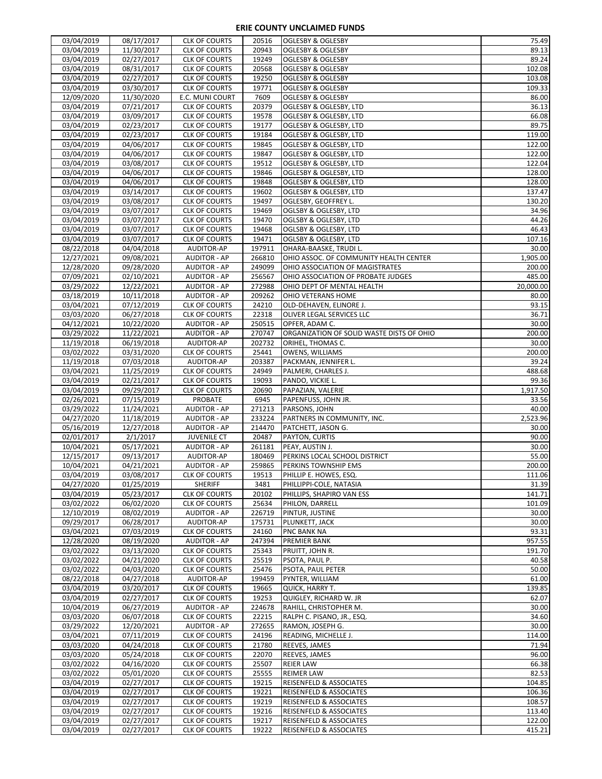| 03/04/2019               | 08/17/2017               | <b>CLK OF COURTS</b>                         | 20516           | <b>OGLESBY &amp; OGLESBY</b>                                             | 75.49                      |
|--------------------------|--------------------------|----------------------------------------------|-----------------|--------------------------------------------------------------------------|----------------------------|
| 03/04/2019               | 11/30/2017               | <b>CLK OF COURTS</b>                         | 20943           | <b>OGLESBY &amp; OGLESBY</b>                                             | 89.13                      |
| 03/04/2019               | 02/27/2017               | <b>CLK OF COURTS</b>                         | 19249           | <b>OGLESBY &amp; OGLESBY</b>                                             | 89.24                      |
| 03/04/2019               | 08/31/2017               | <b>CLK OF COURTS</b>                         | 20568           | <b>OGLESBY &amp; OGLESBY</b>                                             | 102.08                     |
| 03/04/2019               | 02/27/2017               | <b>CLK OF COURTS</b>                         | 19250           | <b>OGLESBY &amp; OGLESBY</b>                                             | 103.08                     |
| 03/04/2019               | 03/30/2017               | <b>CLK OF COURTS</b>                         | 19771           | <b>OGLESBY &amp; OGLESBY</b>                                             | 109.33                     |
|                          |                          | E.C. MUNI COURT                              |                 |                                                                          |                            |
| 12/09/2020               | 11/30/2020               |                                              | 7609            | <b>OGLESBY &amp; OGLESBY</b>                                             | 86.00                      |
| 03/04/2019               | 07/21/2017               | <b>CLK OF COURTS</b>                         | 20379           | OGLESBY & OGLESBY, LTD                                                   | 36.13                      |
| 03/04/2019               | 03/09/2017               | <b>CLK OF COURTS</b>                         | 19578           | OGLESBY & OGLESBY, LTD                                                   | 66.08                      |
| 03/04/2019               | 02/23/2017               | <b>CLK OF COURTS</b>                         | 19177           | OGLESBY & OGLESBY, LTD                                                   | 89.75                      |
| 03/04/2019               | 02/23/2017               | <b>CLK OF COURTS</b>                         | 19184           | OGLESBY & OGLESBY, LTD                                                   | 119.00                     |
| 03/04/2019               | 04/06/2017               | <b>CLK OF COURTS</b>                         | 19845           | OGLESBY & OGLESBY, LTD                                                   | 122.00                     |
| 03/04/2019               | 04/06/2017               | <b>CLK OF COURTS</b>                         | 19847           | OGLESBY & OGLESBY, LTD                                                   | 122.00                     |
| 03/04/2019               | 03/08/2017               | <b>CLK OF COURTS</b>                         | 19512           | OGLESBY & OGLESBY, LTD                                                   | 122.04                     |
| 03/04/2019               | 04/06/2017               | <b>CLK OF COURTS</b>                         | 19846           | OGLESBY & OGLESBY, LTD                                                   | 128.00                     |
| 03/04/2019               | 04/06/2017               | <b>CLK OF COURTS</b>                         | 19848           | OGLESBY & OGLESBY, LTD                                                   | 128.00                     |
| 03/04/2019               | 03/14/2017               | <b>CLK OF COURTS</b>                         | 19602           | OGLESBY & OGLESBY, LTD                                                   | 137.47                     |
| 03/04/2019               | 03/08/2017               | <b>CLK OF COURTS</b>                         | 19497           | OGLESBY, GEOFFREY L.                                                     | 130.20                     |
| 03/04/2019               | 03/07/2017               | <b>CLK OF COURTS</b>                         | 19469           | OGLSBY & OGLESBY, LTD                                                    | 34.96                      |
| 03/04/2019               | 03/07/2017               | <b>CLK OF COURTS</b>                         | 19470           |                                                                          | 44.26                      |
|                          |                          |                                              |                 | OGLSBY & OGLESBY, LTD                                                    |                            |
| 03/04/2019               | 03/07/2017               | <b>CLK OF COURTS</b>                         | 19468           | OGLSBY & OGLESBY, LTD                                                    | 46.43                      |
| 03/04/2019               | 03/07/2017               | <b>CLK OF COURTS</b>                         | 19471           | OGLSBY & OGLESBY, LTD                                                    | 107.16                     |
| 08/22/2018               | 04/04/2018               | AUDITOR-AP                                   | 197911          | OHARA-BAASKE, TRUDI L.                                                   | 30.00                      |
| 12/27/2021               | 09/08/2021               | <b>AUDITOR - AP</b>                          | 266810          | OHIO ASSOC. OF COMMUNITY HEALTH CENTER                                   | 1,905.00                   |
| 12/28/2020               | 09/28/2020               | <b>AUDITOR - AP</b>                          | 249099          | OHIO ASSOCIATION OF MAGISTRATES                                          | 200.00                     |
| 07/09/2021               | 02/10/2021               | <b>AUDITOR - AP</b>                          | 256567          | OHIO ASSOCIATION OF PROBATE JUDGES                                       | 485.00                     |
| 03/29/2022               | 12/22/2021               | <b>AUDITOR - AP</b>                          | 272988          | OHIO DEPT OF MENTAL HEALTH                                               | 20,000.00                  |
| 03/18/2019               | 10/11/2018               | <b>AUDITOR - AP</b>                          | 209262          | OHIO VETERANS HOME                                                       | 80.00                      |
| 03/04/2021               | 07/12/2019               | <b>CLK OF COURTS</b>                         | 24210           | OLD-DEHAVEN, ELINORE J.                                                  | 93.15                      |
| 03/03/2020               | 06/27/2018               | <b>CLK OF COURTS</b>                         | 22318           | OLIVER LEGAL SERVICES LLC                                                | 36.71                      |
| 04/12/2021               | 10/22/2020               | <b>AUDITOR - AP</b>                          | 250515          | OPFER, ADAM C.                                                           | 30.00                      |
| 03/29/2022               | 11/22/2021               | <b>AUDITOR - AP</b>                          | 270747          | ORGANIZATION OF SOLID WASTE DISTS OF OHIO                                | 200.00                     |
| 11/19/2018               | 06/19/2018               | AUDITOR-AP                                   | 202732          | ORIHEL, THOMAS C.                                                        | 30.00                      |
| 03/02/2022               | 03/31/2020               | <b>CLK OF COURTS</b>                         | 25441           | OWENS, WILLIAMS                                                          | 200.00                     |
| 11/19/2018               | 07/03/2018               | AUDITOR-AP                                   | 203387          | PACKMAN, JENNIFER L.                                                     | 39.24                      |
| 03/04/2021               | 11/25/2019               | <b>CLK OF COURTS</b>                         | 24949           | PALMERI, CHARLES J.                                                      | 488.68                     |
| 03/04/2019               | 02/21/2017               | <b>CLK OF COURTS</b>                         | 19093           | PANDO, VICKIE L.                                                         | 99.36                      |
|                          |                          |                                              |                 |                                                                          |                            |
| 03/04/2019               | 09/29/2017               | <b>CLK OF COURTS</b>                         | 20690           | PAPAZIAN, VALERIE                                                        | 1,917.50                   |
| 02/26/2021               | 07/15/2019               | <b>PROBATE</b>                               | 6945            | PAPENFUSS, JOHN JR.                                                      | 33.56                      |
| 03/29/2022               | 11/24/2021               | <b>AUDITOR - AP</b>                          | 271213          | PARSONS, JOHN                                                            | 40.00                      |
| 04/27/2020               | 11/18/2019               | <b>AUDITOR - AP</b>                          | 233224          | PARTNERS IN COMMUNITY, INC.                                              | 2,523.96                   |
| 05/16/2019               | 12/27/2018               | <b>AUDITOR - AP</b>                          | 214470          | PATCHETT, JASON G.                                                       | 30.00                      |
|                          |                          |                                              |                 | PAYTON, CURTIS                                                           |                            |
| 02/01/2017               | 2/1/2017                 | <b>JUVENILE CT</b><br><b>AUDITOR - AP</b>    | 20487<br>261181 | PEAY, AUSTIN J.                                                          | 90.00                      |
| 10/04/2021               | 05/17/2021               |                                              |                 |                                                                          | 30.00                      |
| 12/15/2017               | 09/13/2017               | AUDITOR-AP                                   | 180469          | PERKINS LOCAL SCHOOL DISTRICT                                            | 55.00                      |
| 10/04/2021               | 04/21/2021               | <b>AUDITOR - AP</b>                          | 259865          | PERKINS TOWNSHIP EMS                                                     | 200.00                     |
| 03/04/2019               | 03/08/2017               | <b>CLK OF COURTS</b>                         | 19513           | PHILLIP E. HOWES, ESQ.                                                   | 111.06                     |
| 04/27/2020               | 01/25/2019               | <b>SHERIFF</b>                               | 3481            | PHILLIPPI-COLE, NATASIA                                                  | 31.39                      |
| 03/04/2019               | 05/23/2017               | <b>CLK OF COURTS</b>                         | 20102           | PHILLIPS, SHAPIRO VAN ESS                                                | 141.71                     |
| 03/02/2022               | 06/02/2020               | <b>CLK OF COURTS</b>                         | 25634           | PHILON, DARRELL                                                          | 101.09                     |
| 12/10/2019               | 08/02/2019               | <b>AUDITOR - AP</b>                          | 226719          | PINTUR, JUSTINE                                                          | 30.00                      |
| 09/29/2017               | 06/28/2017               | AUDITOR-AP                                   | 175731          | PLUNKETT, JACK                                                           | 30.00                      |
| 03/04/2021               | 07/03/2019               | <b>CLK OF COURTS</b>                         | 24160           | PNC BANK NA                                                              | 93.31                      |
| 12/28/2020               | 08/19/2020               | <b>AUDITOR - AP</b>                          | 247394          | <b>PREMIER BANK</b>                                                      | 957.55                     |
| 03/02/2022               | 03/13/2020               | <b>CLK OF COURTS</b>                         | 25343           | PRUITT, JOHN R.                                                          | 191.70                     |
| 03/02/2022               | 04/21/2020               | <b>CLK OF COURTS</b>                         | 25519           | PSOTA, PAUL P.                                                           | 40.58                      |
| 03/02/2022               | 04/03/2020               | <b>CLK OF COURTS</b>                         | 25476           | PSOTA, PAUL PETER                                                        | 50.00                      |
| 08/22/2018               | 04/27/2018               | AUDITOR-AP                                   | 199459          | PYNTER, WILLIAM                                                          | 61.00                      |
| 03/04/2019               | 03/20/2017               | <b>CLK OF COURTS</b>                         | 19665           | QUICK, HARRY T.                                                          | 139.85                     |
| 03/04/2019               | 02/27/2017               | <b>CLK OF COURTS</b>                         | 19253           | QUIGLEY, RICHARD W. JR                                                   | 62.07                      |
| 10/04/2019               | 06/27/2019               | <b>AUDITOR - AP</b>                          | 224678          | RAHILL, CHRISTOPHER M.                                                   | 30.00                      |
| 03/03/2020               | 06/07/2018               | <b>CLK OF COURTS</b>                         | 22215           | RALPH C. PISANO, JR., ESQ.                                               | 34.60                      |
| 03/29/2022               | 12/20/2021               | <b>AUDITOR - AP</b>                          | 272655          | RAMON, JOSEPH G.                                                         | 30.00                      |
| 03/04/2021               | 07/11/2019               | <b>CLK OF COURTS</b>                         | 24196           | READING, MICHELLE J.                                                     | 114.00                     |
| 03/03/2020               | 04/24/2018               | <b>CLK OF COURTS</b>                         | 21780           | <b>REEVES, JAMES</b>                                                     | 71.94                      |
| 03/03/2020               | 05/24/2018               | <b>CLK OF COURTS</b>                         | 22070           | REEVES, JAMES                                                            | 96.00                      |
| 03/02/2022               | 04/16/2020               | <b>CLK OF COURTS</b>                         | 25507           | <b>REIER LAW</b>                                                         | 66.38                      |
| 03/02/2022               | 05/01/2020               | <b>CLK OF COURTS</b>                         | 25555           | <b>REIMER LAW</b>                                                        | 82.53                      |
| 03/04/2019               | 02/27/2017               | <b>CLK OF COURTS</b>                         | 19215           | <b>REISENFELD &amp; ASSOCIATES</b>                                       | 104.85                     |
| 03/04/2019               | 02/27/2017               | <b>CLK OF COURTS</b>                         | 19221           | <b>REISENFELD &amp; ASSOCIATES</b>                                       | 106.36                     |
| 03/04/2019               | 02/27/2017               | <b>CLK OF COURTS</b>                         | 19219           | <b>REISENFELD &amp; ASSOCIATES</b>                                       | 108.57                     |
| 03/04/2019               | 02/27/2017               | <b>CLK OF COURTS</b>                         | 19216           | REISENFELD & ASSOCIATES                                                  |                            |
| 03/04/2019<br>03/04/2019 | 02/27/2017<br>02/27/2017 | <b>CLK OF COURTS</b><br><b>CLK OF COURTS</b> | 19217<br>19222  | <b>REISENFELD &amp; ASSOCIATES</b><br><b>REISENFELD &amp; ASSOCIATES</b> | 113.40<br>122.00<br>415.21 |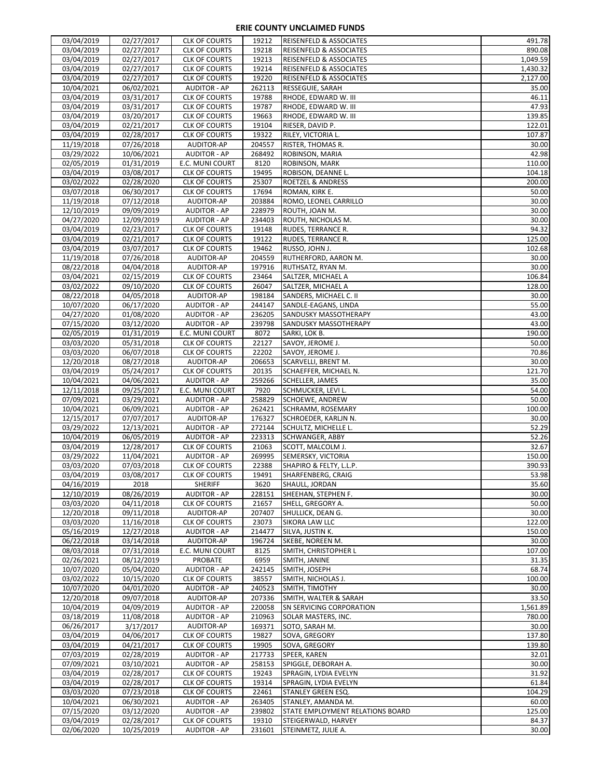| 03/04/2019               | 02/27/2017               | <b>CLK OF COURTS</b>                         | 19212           | <b>REISENFELD &amp; ASSOCIATES</b>                      | 491.78           |
|--------------------------|--------------------------|----------------------------------------------|-----------------|---------------------------------------------------------|------------------|
| 03/04/2019               | 02/27/2017               | <b>CLK OF COURTS</b>                         | 19218           | REISENFELD & ASSOCIATES                                 | 890.08           |
| 03/04/2019               | 02/27/2017               | <b>CLK OF COURTS</b>                         | 19213           | REISENFELD & ASSOCIATES                                 | 1,049.59         |
| 03/04/2019               | 02/27/2017               | <b>CLK OF COURTS</b>                         | 19214           | <b>REISENFELD &amp; ASSOCIATES</b>                      | 1,430.32         |
| 03/04/2019               | 02/27/2017               | <b>CLK OF COURTS</b>                         | 19220           | REISENFELD & ASSOCIATES                                 | 2,127.00         |
| 10/04/2021               | 06/02/2021               | <b>AUDITOR - AP</b>                          | 262113          | RESSEGUIE, SARAH                                        | 35.00            |
| 03/04/2019               | 03/31/2017               | <b>CLK OF COURTS</b>                         | 19788           | RHODE, EDWARD W. III                                    | 46.11            |
| 03/04/2019               | 03/31/2017               | <b>CLK OF COURTS</b>                         | 19787           | RHODE, EDWARD W. III                                    | 47.93            |
| 03/04/2019               | 03/20/2017               | <b>CLK OF COURTS</b>                         | 19663           | RHODE, EDWARD W. III                                    | 139.85           |
| 03/04/2019               | 02/21/2017               | <b>CLK OF COURTS</b><br><b>CLK OF COURTS</b> | 19104<br>19322  | RIESER, DAVID P.                                        | 122.01<br>107.87 |
| 03/04/2019<br>11/19/2018 | 02/28/2017<br>07/26/2018 | AUDITOR-AP                                   | 204557          | RILEY, VICTORIA L.<br>RISTER, THOMAS R.                 | 30.00            |
| 03/29/2022               | 10/06/2021               | <b>AUDITOR - AP</b>                          | 268492          | ROBINSON, MARIA                                         | 42.98            |
| 02/05/2019               | 01/31/2019               | E.C. MUNI COURT                              | 8120            | ROBINSON, MARK                                          | 110.00           |
| 03/04/2019               | 03/08/2017               | <b>CLK OF COURTS</b>                         | 19495           | ROBISON, DEANNE L.                                      | 104.18           |
| 03/02/2022               | 02/28/2020               | <b>CLK OF COURTS</b>                         | 25307           | <b>ROETZEL &amp; ANDRESS</b>                            | 200.00           |
| 03/07/2018               | 06/30/2017               | <b>CLK OF COURTS</b>                         | 17694           | ROMAN, KIRK E.                                          | 50.00            |
| 11/19/2018               | 07/12/2018               | AUDITOR-AP                                   | 203884          | ROMO, LEONEL CARRILLO                                   | 30.00            |
| 12/10/2019               | 09/09/2019               | <b>AUDITOR - AP</b>                          | 228979          | ROUTH, JOAN M.                                          | 30.00            |
| 04/27/2020               | 12/09/2019               | <b>AUDITOR - AP</b>                          | 234403          | ROUTH, NICHOLAS M.                                      | 30.00            |
| 03/04/2019               | 02/23/2017               | <b>CLK OF COURTS</b>                         | 19148           | <b>RUDES, TERRANCE R.</b>                               | 94.32            |
| 03/04/2019               | 02/21/2017               | <b>CLK OF COURTS</b>                         | 19122           | RUDES, TERRANCE R.                                      | 125.00           |
| 03/04/2019               | 03/07/2017               | <b>CLK OF COURTS</b>                         | 19462           | RUSSO, JOHN J.                                          | 102.68           |
| 11/19/2018               | 07/26/2018               | AUDITOR-AP                                   | 204559          | RUTHERFORD, AARON M.                                    | 30.00            |
| 08/22/2018               | 04/04/2018               | AUDITOR-AP                                   | 197916          | RUTHSATZ, RYAN M.                                       | 30.00            |
| 03/04/2021               | 02/15/2019               | <b>CLK OF COURTS</b>                         | 23464           | SALTZER, MICHAEL A                                      | 106.84           |
| 03/02/2022               | 09/10/2020               | <b>CLK OF COURTS</b>                         | 26047           | SALTZER, MICHAEL A                                      | 128.00           |
| 08/22/2018               | 04/05/2018               | AUDITOR-AP                                   | 198184          | SANDERS, MICHAEL C. II                                  | 30.00            |
| 10/07/2020               | 06/17/2020               | <b>AUDITOR - AP</b>                          | 244147          | SANDLE-EAGANS, LINDA                                    | 55.00            |
| 04/27/2020               | 01/08/2020               | <b>AUDITOR - AP</b>                          | 236205          | SANDUSKY MASSOTHERAPY                                   | 43.00            |
| 07/15/2020               | 03/12/2020               | <b>AUDITOR - AP</b>                          | 239798          | <b>SANDUSKY MASSOTHERAPY</b>                            | 43.00<br>190.00  |
| 02/05/2019<br>03/03/2020 | 01/31/2019<br>05/31/2018 | E.C. MUNI COURT<br><b>CLK OF COURTS</b>      | 8072<br>22127   | SARKI, LOK B.<br>SAVOY, JEROME J.                       | 50.00            |
| 03/03/2020               | 06/07/2018               | <b>CLK OF COURTS</b>                         | 22202           | SAVOY, JEROME J.                                        | 70.86            |
| 12/20/2018               | 08/27/2018               | AUDITOR-AP                                   | 206653          | <b>SCARVELLI, BRENT M.</b>                              | 30.00            |
| 03/04/2019               | 05/24/2017               | <b>CLK OF COURTS</b>                         | 20135           | SCHAEFFER, MICHAEL N.                                   | 121.70           |
| 10/04/2021               | 04/06/2021               | <b>AUDITOR - AP</b>                          | 259266          | <b>SCHELLER, JAMES</b>                                  | 35.00            |
|                          |                          |                                              |                 |                                                         |                  |
|                          |                          |                                              |                 |                                                         |                  |
| 12/11/2018               | 09/25/2017               | E.C. MUNI COURT                              | 7920<br>258829  | SCHMUCKER, LEVI L.                                      | 54.00<br>50.00   |
| 07/09/2021<br>10/04/2021 | 03/29/2021<br>06/09/2021 | <b>AUDITOR - AP</b><br><b>AUDITOR - AP</b>   | 262421          | <b>SCHOEWE, ANDREW</b><br><b>SCHRAMM, ROSEMARY</b>      | 100.00           |
| 12/15/2017               | 07/07/2017               | AUDITOR-AP                                   | 176327          | SCHROEDER, KARLIN N.                                    | 30.00            |
| 03/29/2022               | 12/13/2021               | <b>AUDITOR - AP</b>                          | 272144          | SCHULTZ, MICHELLE L.                                    | 52.29            |
| 10/04/2019               | 06/05/2019               | <b>AUDITOR - AP</b>                          | 223313          | <b>SCHWANGER, ABBY</b>                                  | 52.26            |
| 03/04/2019               | 12/28/2017               | <b>CLK OF COURTS</b>                         | 21063           | SCOTT, MALCOLM J.                                       | 32.67            |
| 03/29/2022               | 11/04/2021               | <b>AUDITOR - AP</b>                          | 269995          | SEMERSKY, VICTORIA                                      | 150.00           |
| 03/03/2020               | 07/03/2018               | <b>CLK OF COURTS</b>                         | 22388           | SHAPIRO & FELTY, L.L.P.                                 | 390.93           |
| 03/04/2019               | 03/08/2017               | <b>CLK OF COURTS</b>                         | 19491           | SHARFENBERG, CRAIG                                      | 53.98            |
| 04/16/2019               | 2018                     | <b>SHERIFF</b>                               | 3620            | SHAULL, JORDAN                                          | 35.60            |
| 12/10/2019               | 08/26/2019               | <b>AUDITOR - AP</b>                          | 228151          | SHEEHAN, STEPHEN F.                                     | 30.00            |
| 03/03/2020               | 04/11/2018               | <b>CLK OF COURTS</b>                         | 21657           | SHELL, GREGORY A.                                       | 50.00            |
| 12/20/2018               | 09/11/2018               | AUDITOR-AP                                   | 207407          | SHULLICK, DEAN G.                                       | 30.00            |
| 03/03/2020               | 11/16/2018               | <b>CLK OF COURTS</b>                         | 23073           | SIKORA LAW LLC                                          | 122.00           |
| 05/16/2019               | 12/27/2018               | <b>AUDITOR - AP</b>                          | 214477          | SILVA, JUSTIN K.                                        | 150.00           |
| 06/22/2018               | 03/14/2018               | AUDITOR-AP                                   | 196724          | SKEBE, NOREEN M.                                        | 30.00            |
| 08/03/2018               | 07/31/2018               | E.C. MUNI COURT                              | 8125<br>6959    | SMITH, CHRISTOPHER L                                    | 107.00<br>31.35  |
| 02/26/2021<br>10/07/2020 | 08/12/2019<br>05/04/2020 | <b>PROBATE</b><br><b>AUDITOR - AP</b>        | 242145          | SMITH, JANINE<br>SMITH, JOSEPH                          | 68.74            |
| 03/02/2022               | 10/15/2020               | <b>CLK OF COURTS</b>                         | 38557           | SMITH, NICHOLAS J.                                      | 100.00           |
| 10/07/2020               | 04/01/2020               | <b>AUDITOR - AP</b>                          | 240523          | SMITH, TIMOTHY                                          | 30.00            |
| 12/20/2018               | 09/07/2018               | AUDITOR-AP                                   | 207336          | SMITH, WALTER & SARAH                                   | 33.50            |
| 10/04/2019               | 04/09/2019               | <b>AUDITOR - AP</b>                          | 220058          | <b>SN SERVICING CORPORATION</b>                         | 1,561.89         |
| 03/18/2019               | 11/08/2018               | <b>AUDITOR - AP</b>                          | 210963          | SOLAR MASTERS, INC.                                     | 780.00           |
| 06/26/2017               | 3/17/2017                | AUDITOR-AP                                   | 169371          | SOTO, SARAH M.                                          | 30.00            |
| 03/04/2019               | 04/06/2017               | <b>CLK OF COURTS</b>                         | 19827           | SOVA, GREGORY                                           | 137.80           |
| 03/04/2019               | 04/21/2017               | <b>CLK OF COURTS</b>                         | 19905           | SOVA, GREGORY                                           | 139.80           |
| 07/03/2019               | 02/28/2019               | <b>AUDITOR - AP</b>                          | 217733          | SPEER, KAREN                                            | 32.01            |
| 07/09/2021               | 03/10/2021               | <b>AUDITOR - AP</b>                          | 258153          | SPIGGLE, DEBORAH A.                                     | 30.00            |
| 03/04/2019               | 02/28/2017               | <b>CLK OF COURTS</b>                         | 19243           | SPRAGIN, LYDIA EVELYN                                   | 31.92            |
| 03/04/2019               | 02/28/2017               | <b>CLK OF COURTS</b>                         | 19314           | SPRAGIN, LYDIA EVELYN                                   | 61.84            |
| 03/03/2020               | 07/23/2018               | <b>CLK OF COURTS</b>                         | 22461           | <b>STANLEY GREEN ESQ.</b>                               | 104.29           |
| 10/04/2021               | 06/30/2021               | <b>AUDITOR - AP</b>                          | 263405          | STANLEY, AMANDA M.                                      | 60.00            |
| 07/15/2020<br>03/04/2019 | 03/12/2020<br>02/28/2017 | <b>AUDITOR - AP</b><br><b>CLK OF COURTS</b>  | 239802<br>19310 | STATE EMPLOYMENT RELATIONS BOARD<br>STEIGERWALD, HARVEY | 125.00<br>84.37  |